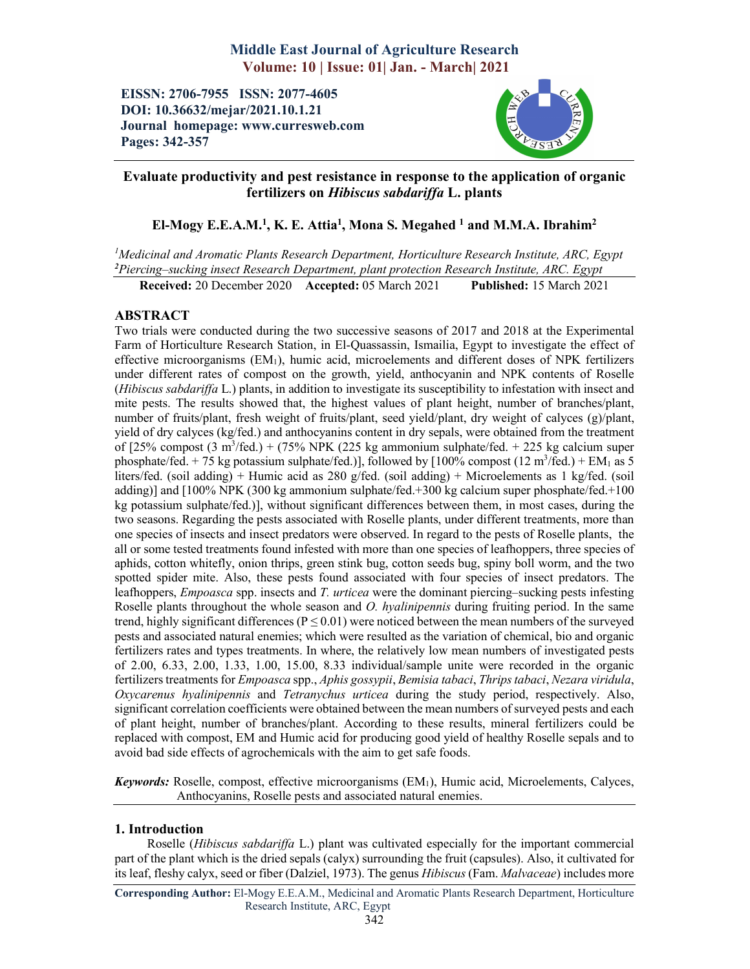# Middle East Journal of Agriculture Research Volume: 10 | Issue: 01| Jan. - March| 2021

EISSN: 2706-7955 ISSN: 2077-4605 DOI: 10.36632/mejar/2021.10.1.21 Journal homepage: www.curresweb.com Pages: 342-357



## Evaluate productivity and pest resistance in response to the application of organic fertilizers on *Hibiscus sabdariffa* L. plants

## El-Mogy E.E.A.M.<sup>1</sup>, K. E. Attia<sup>1</sup>, Mona S. Megahed <sup>1</sup> and M.M.A. Ibrahim<sup>2</sup>

*1 Medicinal and Aromatic Plants Research Department, Horticulture Research Institute, ARC, Egypt 2 Piercing–sucking insect Research Department, plant protection Research Institute, ARC. Egypt*

Received: 20 December 2020 Accepted: 05 March 2021 Published: 15 March 2021

## ABSTRACT

Two trials were conducted during the two successive seasons of 2017 and 2018 at the Experimental Farm of Horticulture Research Station, in El-Quassassin, Ismailia, Egypt to investigate the effect of effective microorganisms  $(EM<sub>1</sub>)$ , humic acid, microelements and different doses of NPK fertilizers under different rates of compost on the growth, yield, anthocyanin and NPK contents of Roselle (*Hibiscus sabdariffa* L.) plants, in addition to investigate its susceptibility to infestation with insect and mite pests. The results showed that, the highest values of plant height, number of branches/plant, number of fruits/plant, fresh weight of fruits/plant, seed yield/plant, dry weight of calyces (g)/plant, yield of dry calyces (kg/fed.) and anthocyanins content in dry sepals, were obtained from the treatment of  $[25\%$  compost  $(3 \text{ m}^3/\text{fed.}) + (75\% \text{ NPK } (225 \text{ kg } \text{ammonium } \text{ sulphate/fed.} + 225 \text{ kg } \text{calcium } \text{super}$ phosphate/fed.  $+ 75$  kg potassium sulphate/fed.)], followed by [100% compost (12 m<sup>3</sup>/fed.)  $+ EM_1$  as 5 liters/fed. (soil adding) + Humic acid as 280 g/fed. (soil adding) + Microelements as 1 kg/fed. (soil adding)] and [100% NPK (300 kg ammonium sulphate/fed.+300 kg calcium super phosphate/fed.+100 kg potassium sulphate/fed.)], without significant differences between them, in most cases, during the two seasons. Regarding the pests associated with Roselle plants, under different treatments, more than one species of insects and insect predators were observed. In regard to the pests of Roselle plants, the all or some tested treatments found infested with more than one species of leafhoppers, three species of aphids, cotton whitefly, onion thrips, green stink bug, cotton seeds bug, spiny boll worm, and the two spotted spider mite. Also, these pests found associated with four species of insect predators. The leafhoppers, *Empoasca* spp. insects and *T. urticea* were the dominant piercing–sucking pests infesting Roselle plants throughout the whole season and *O. hyalinipennis* during fruiting period. In the same trend, highly significant differences ( $P \le 0.01$ ) were noticed between the mean numbers of the surveyed pests and associated natural enemies; which were resulted as the variation of chemical, bio and organic fertilizers rates and types treatments. In where, the relatively low mean numbers of investigated pests of 2.00, 6.33, 2.00, 1.33, 1.00, 15.00, 8.33 individual/sample unite were recorded in the organic fertilizers treatments for *Empoasca* spp., *Aphis gossypii*, *Bemisia tabaci*, *Thrips tabaci*, *Nezara viridula*, *Oxycarenus hyalinipennis* and *Tetranychus urticea* during the study period, respectively. Also, significant correlation coefficients were obtained between the mean numbers of surveyed pests and each of plant height, number of branches/plant. According to these results, mineral fertilizers could be replaced with compost, EM and Humic acid for producing good yield of healthy Roselle sepals and to avoid bad side effects of agrochemicals with the aim to get safe foods.

*Keywords:* Roselle, compost, effective microorganisms (EM1), Humic acid, Microelements, Calyces, Anthocyanins, Roselle pests and associated natural enemies.

## 1. Introduction

Roselle (*Hibiscus sabdariffa* L.) plant was cultivated especially for the important commercial part of the plant which is the dried sepals (calyx) surrounding the fruit (capsules). Also, it cultivated for its leaf, fleshy calyx, seed or fiber (Dalziel, 1973). The genus *Hibiscus* (Fam. *Malvaceae*) includes more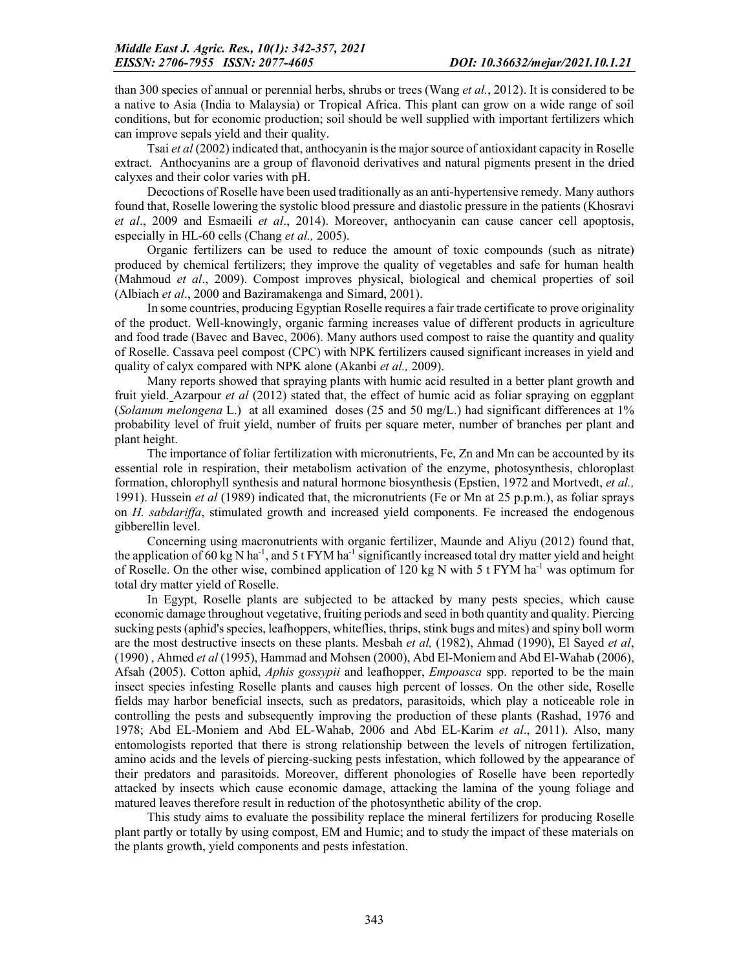than 300 species of annual or perennial herbs, shrubs or trees (Wang *et al.*, 2012). It is considered to be a native to Asia (India to Malaysia) or Tropical Africa. This plant can grow on a wide range of soil conditions, but for economic production; soil should be well supplied with important fertilizers which can improve sepals yield and their quality.

Tsai *et al* (2002) indicated that, anthocyanin is the major source of antioxidant capacity in Roselle extract. Anthocyanins are a group of flavonoid derivatives and natural pigments present in the dried calyxes and their color varies with pH.

Decoctions of Roselle have been used traditionally as an anti-hypertensive remedy. Many authors found that, Roselle lowering the systolic blood pressure and diastolic pressure in the patients (Khosravi *et al*., 2009 and Esmaeili *et al*., 2014). Moreover, anthocyanin can cause cancer cell apoptosis, especially in HL-60 cells (Chang *et al.,* 2005).

Organic fertilizers can be used to reduce the amount of toxic compounds (such as nitrate) produced by chemical fertilizers; they improve the quality of vegetables and safe for human health (Mahmoud *et al*., 2009). Compost improves physical, biological and chemical properties of soil (Albiach *et al*., 2000 and Baziramakenga and Simard, 2001).

In some countries, producing Egyptian Roselle requires a fair trade certificate to prove originality of the product. Well-knowingly, organic farming increases value of different products in agriculture and food trade (Bavec and Bavec, 2006). Many authors used compost to raise the quantity and quality of Roselle. Cassava peel compost (CPC) with NPK fertilizers caused significant increases in yield and quality of calyx compared with NPK alone (Akanbi *et al.,* 2009).

Many reports showed that spraying plants with humic acid resulted in a better plant growth and fruit yield. Azarpour *et al* (2012) stated that, the effect of humic acid as foliar spraying on eggplant (*Solanum melongena* L.) at all examined doses (25 and 50 mg/L.) had significant differences at 1% probability level of fruit yield, number of fruits per square meter, number of branches per plant and plant height.

The importance of foliar fertilization with micronutrients, Fe, Zn and Mn can be accounted by its essential role in respiration, their metabolism activation of the enzyme, photosynthesis, chloroplast formation, chlorophyll synthesis and natural hormone biosynthesis (Epstien, 1972 and Mortvedt, *et al.,* 1991). Hussein *et al* (1989) indicated that, the micronutrients (Fe or Mn at 25 p.p.m.), as foliar sprays on *H. sabdariffa*, stimulated growth and increased yield components. Fe increased the endogenous gibberellin level.

Concerning using macronutrients with organic fertilizer, Maunde and Aliyu (2012) found that, the application of 60 kg N ha<sup>-1</sup>, and 5 t FYM ha<sup>-1</sup> significantly increased total dry matter yield and height of Roselle. On the other wise, combined application of 120 kg N with 5 t FYM ha<sup>-1</sup> was optimum for total dry matter yield of Roselle.

In Egypt, Roselle plants are subjected to be attacked by many pests species, which cause economic damage throughout vegetative, fruiting periods and seed in both quantity and quality. Piercing sucking pests (aphid's species, leafhoppers, whiteflies, thrips, stink bugs and mites) and spiny boll worm are the most destructive insects on these plants. Mesbah *et al,* (1982), Ahmad (1990), El Sayed *et al*, (1990) , Ahmed *et al* (1995), Hammad and Mohsen (2000), Abd El-Moniem and Abd El-Wahab (2006), Afsah (2005). Cotton aphid, *Aphis gossypii* and leafhopper, *Empoasca* spp. reported to be the main insect species infesting Roselle plants and causes high percent of losses. On the other side, Roselle fields may harbor beneficial insects, such as predators, parasitoids, which play a noticeable role in controlling the pests and subsequently improving the production of these plants (Rashad, 1976 and 1978; Abd EL-Moniem and Abd EL-Wahab, 2006 and Abd EL-Karim *et al*., 2011). Also, many entomologists reported that there is strong relationship between the levels of nitrogen fertilization, amino acids and the levels of piercing-sucking pests infestation, which followed by the appearance of their predators and parasitoids. Moreover, different phonologies of Roselle have been reportedly attacked by insects which cause economic damage, attacking the lamina of the young foliage and matured leaves therefore result in reduction of the photosynthetic ability of the crop.

This study aims to evaluate the possibility replace the mineral fertilizers for producing Roselle plant partly or totally by using compost, EM and Humic; and to study the impact of these materials on the plants growth, yield components and pests infestation.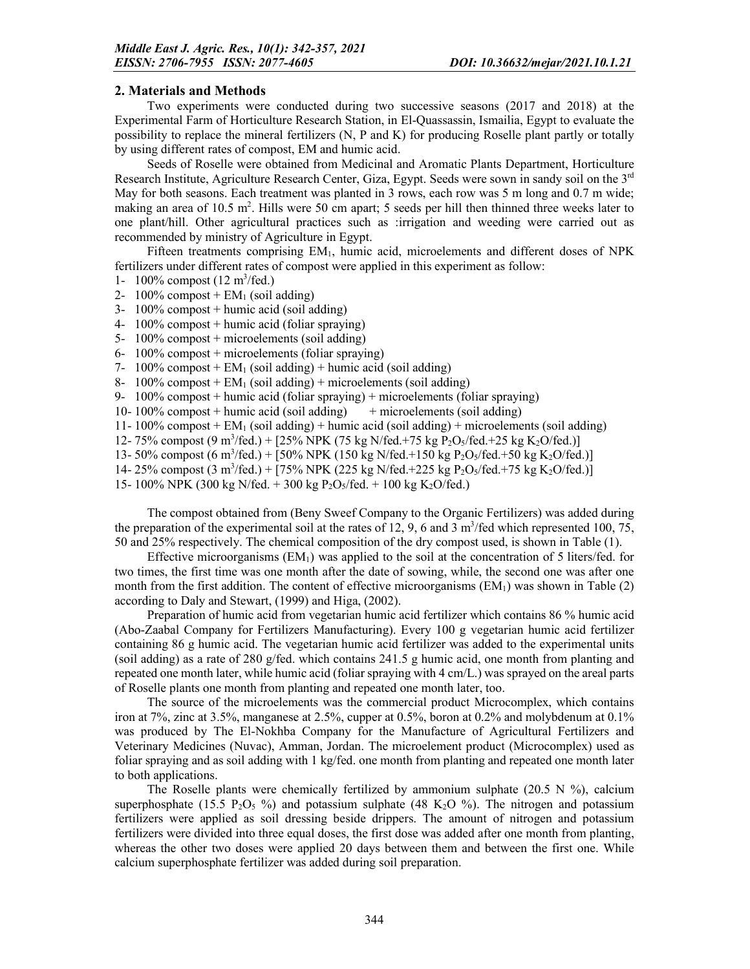#### 2. Materials and Methods

Two experiments were conducted during two successive seasons (2017 and 2018) at the Experimental Farm of Horticulture Research Station, in El-Quassassin, Ismailia, Egypt to evaluate the possibility to replace the mineral fertilizers (N, P and K) for producing Roselle plant partly or totally by using different rates of compost, EM and humic acid.

Seeds of Roselle were obtained from Medicinal and Aromatic Plants Department, Horticulture Research Institute, Agriculture Research Center, Giza, Egypt. Seeds were sown in sandy soil on the 3<sup>rd</sup> May for both seasons. Each treatment was planted in 3 rows, each row was 5 m long and 0.7 m wide; making an area of 10.5 m<sup>2</sup>. Hills were 50 cm apart; 5 seeds per hill then thinned three weeks later to one plant/hill. Other agricultural practices such as :irrigation and weeding were carried out as recommended by ministry of Agriculture in Egypt.

Fifteen treatments comprising EM<sub>1</sub>, humic acid, microelements and different doses of NPK fertilizers under different rates of compost were applied in this experiment as follow:

- 1-  $100\%$  compost (12 m<sup>3</sup>/fed.)
- 2- 100% compost +  $EM<sub>1</sub>$  (soil adding)
- 3-  $100\%$  compost + humic acid (soil adding)
- 4- 100% compost + humic acid (foliar spraying)
- 5- 100% compost + microelements (soil adding)
- 6- 100% compost + microelements (foliar spraying)
- 7-  $100\%$  compost + EM<sub>1</sub> (soil adding) + humic acid (soil adding)

8- 100% compost +  $EM_1$  (soil adding) + microelements (soil adding)

- 9- 100% compost + humic acid (foliar spraying) + microelements (foliar spraying)
- 10- 100% compost + humic acid (soil adding)  $+$  microelements (soil adding)
- 11- 100% compost + EM<sub>1</sub> (soil adding) + humic acid (soil adding) + microelements (soil adding)
- 12- 75% compost (9 m<sup>3</sup>/fed.) + [25% NPK (75 kg N/fed.+75 kg P<sub>2</sub>O<sub>5</sub>/fed.+25 kg K<sub>2</sub>O/fed.)]
- 13- 50% compost (6 m<sup>3</sup>/fed.) + [50% NPK (150 kg N/fed.+150 kg P<sub>2</sub>O<sub>5</sub>/fed.+50 kg K<sub>2</sub>O/fed.)]
- 14- 25% compost (3 m<sup>3</sup>/fed.) + [75% NPK (225 kg N/fed.+225 kg P<sub>2</sub>O<sub>5</sub>/fed.+75 kg K<sub>2</sub>O/fed.)]

15- 100% NPK (300 kg N/fed. + 300 kg P<sub>2</sub>O<sub>5</sub>/fed. + 100 kg K<sub>2</sub>O/fed.)

The compost obtained from (Beny Sweef Company to the Organic Fertilizers) was added during the preparation of the experimental soil at the rates of 12, 9, 6 and 3  $m^3$ /fed which represented 100, 75, 50 and 25% respectively. The chemical composition of the dry compost used, is shown in Table (1).

Effective microorganisms  $(EM_1)$  was applied to the soil at the concentration of 5 liters/fed. for two times, the first time was one month after the date of sowing, while, the second one was after one month from the first addition. The content of effective microorganisms  $(EM<sub>1</sub>)$  was shown in Table  $(2)$ according to Daly and Stewart, (1999) and Higa, (2002).

Preparation of humic acid from vegetarian humic acid fertilizer which contains 86 % humic acid (Abo-Zaabal Company for Fertilizers Manufacturing). Every 100 g vegetarian humic acid fertilizer containing 86 g humic acid. The vegetarian humic acid fertilizer was added to the experimental units (soil adding) as a rate of 280 g/fed. which contains 241.5 g humic acid, one month from planting and repeated one month later, while humic acid (foliar spraying with 4 cm/L.) was sprayed on the areal parts of Roselle plants one month from planting and repeated one month later, too.

The source of the microelements was the commercial product Microcomplex, which contains iron at 7%, zinc at 3.5%, manganese at 2.5%, cupper at 0.5%, boron at 0.2% and molybdenum at 0.1% was produced by The El-Nokhba Company for the Manufacture of Agricultural Fertilizers and Veterinary Medicines (Nuvac), Amman, Jordan. The microelement product (Microcomplex) used as foliar spraying and as soil adding with 1 kg/fed. one month from planting and repeated one month later to both applications.

The Roselle plants were chemically fertilized by ammonium sulphate (20.5 N %), calcium superphosphate (15.5 P<sub>2</sub>O<sub>5</sub> %) and potassium sulphate (48 K<sub>2</sub>O %). The nitrogen and potassium fertilizers were applied as soil dressing beside drippers. The amount of nitrogen and potassium fertilizers were divided into three equal doses, the first dose was added after one month from planting, whereas the other two doses were applied 20 days between them and between the first one. While calcium superphosphate fertilizer was added during soil preparation.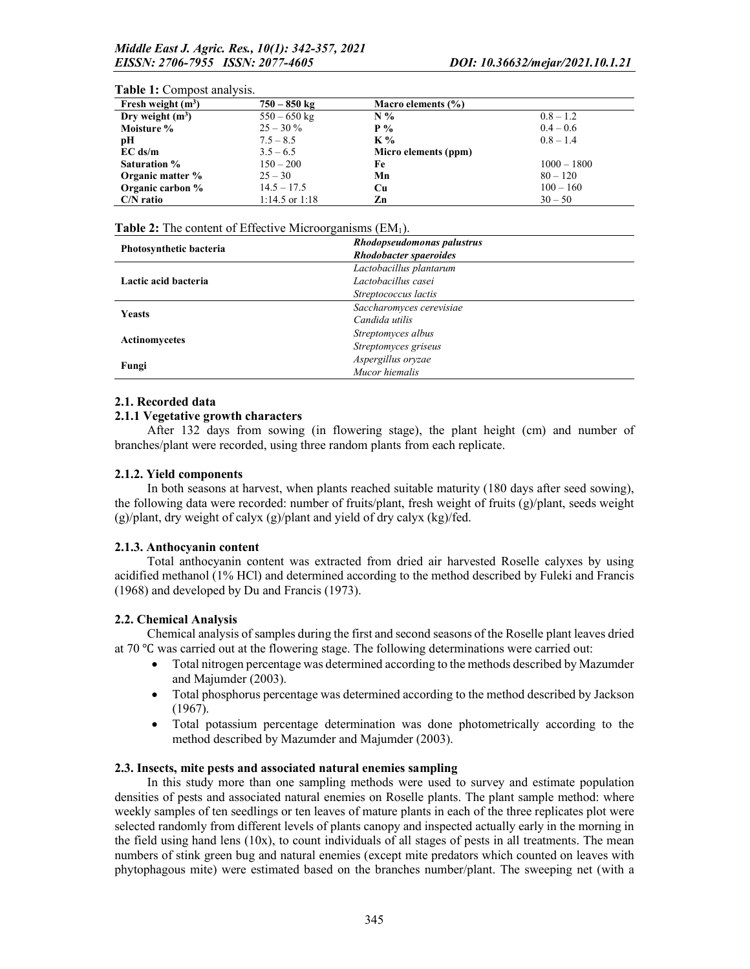#### **Table 1:** Compost analysis.<br>Fresh weight  $(m^3)$  $750 - 850 \text{ kg}$  Macro elements (%) Dry weight  $(m^3)$  $550 - 650 \text{ kg}$  N %  $0.8 - 1.2$ <br>25 – 30 % P % 0.4 – 0.6 **Moisture % 25 – 30 % P % 0.4 – 0.6**<br> **pH** 7.5 – 8.5 **K %** 0.8 – 1.4 **pH** 7.5 – 8.5 K % 0.8 – 1.4 **EC ds/m**  $3.5-6.5$  Micro elements (ppm)<br>Saturation %  $150-200$  Fe **Saturation %** 150 – 200 **Fe** 1000 – 1800<br> **Organic matter %** 25 – 30 **Mn** 80 – 120 **Organic matter %** 25 – 30 **Mn** 80 – 120<br> **Organic carbon %** 14.5 – 17.5 **Cu** 100 – 160 **Organic carbon %** 14.5 – 17.5 **Cu** 100 – 16<br> **C/N** ratio 1:14.5 or 1:18 **Zn** 30 – 50  $C/N$  ratio  $1:14.5$  or  $1:18$  Zn

#### Table 2: The content of Effective Microorganisms  $(EM<sub>1</sub>)$ .

| Photosynthetic bacteria | Rhodopseudomonas palustrus    |
|-------------------------|-------------------------------|
|                         | <b>Rhodobacter spaeroides</b> |
|                         | Lactobacillus plantarum       |
| Lactic acid bacteria    | Lactobacillus casei           |
|                         | Streptococcus lactis          |
| <b>Yeasts</b>           | Saccharomyces cerevisiae      |
|                         | Candida utilis                |
|                         | Streptomyces albus            |
| <b>Actinomycetes</b>    | Streptomyces griseus          |
|                         | Aspergillus oryzae            |
| Fungi                   | Mucor hiemalis                |

#### 2.1. Recorded data

### 2.1.1 Vegetative growth characters

After 132 days from sowing (in flowering stage), the plant height (cm) and number of branches/plant were recorded, using three random plants from each replicate.

#### 2.1.2. Yield components

In both seasons at harvest, when plants reached suitable maturity (180 days after seed sowing), the following data were recorded: number of fruits/plant, fresh weight of fruits (g)/plant, seeds weight (g)/plant, dry weight of calyx (g)/plant and yield of dry calyx (kg)/fed.

#### 2.1.3. Anthocyanin content

Total anthocyanin content was extracted from dried air harvested Roselle calyxes by using acidified methanol (1% HCl) and determined according to the method described by Fuleki and Francis (1968) and developed by Du and Francis (1973).

#### 2.2. Chemical Analysis

Chemical analysis of samples during the first and second seasons of the Roselle plant leaves dried at 70 ℃ was carried out at the flowering stage. The following determinations were carried out:

- Total nitrogen percentage was determined according to the methods described by Mazumder and Majumder (2003).
- Total phosphorus percentage was determined according to the method described by Jackson (1967).
- Total potassium percentage determination was done photometrically according to the method described by Mazumder and Majumder (2003).

#### 2.3. Insects, mite pests and associated natural enemies sampling

In this study more than one sampling methods were used to survey and estimate population densities of pests and associated natural enemies on Roselle plants. The plant sample method: where weekly samples of ten seedlings or ten leaves of mature plants in each of the three replicates plot were selected randomly from different levels of plants canopy and inspected actually early in the morning in the field using hand lens  $(10x)$ , to count individuals of all stages of pests in all treatments. The mean numbers of stink green bug and natural enemies (except mite predators which counted on leaves with phytophagous mite) were estimated based on the branches number/plant. The sweeping net (with a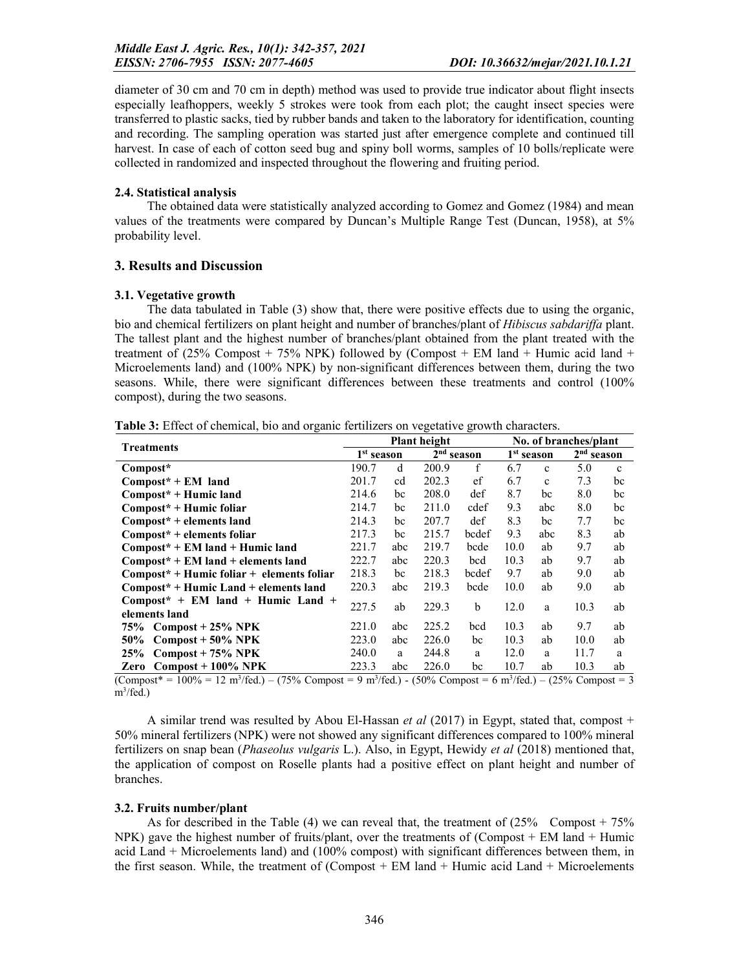diameter of 30 cm and 70 cm in depth) method was used to provide true indicator about flight insects especially leafhoppers, weekly 5 strokes were took from each plot; the caught insect species were transferred to plastic sacks, tied by rubber bands and taken to the laboratory for identification, counting and recording. The sampling operation was started just after emergence complete and continued till harvest. In case of each of cotton seed bug and spiny boll worms, samples of 10 bolls/replicate were collected in randomized and inspected throughout the flowering and fruiting period.

### 2.4. Statistical analysis

The obtained data were statistically analyzed according to Gomez and Gomez (1984) and mean values of the treatments were compared by Duncan's Multiple Range Test (Duncan, 1958), at 5% probability level.

## 3. Results and Discussion

#### 3.1. Vegetative growth

The data tabulated in Table (3) show that, there were positive effects due to using the organic, bio and chemical fertilizers on plant height and number of branches/plant of *Hibiscus sabdariffa* plant. The tallest plant and the highest number of branches/plant obtained from the plant treated with the treatment of  $(25\%$  Compost + 75% NPK) followed by (Compost + EM land + Humic acid land + Microelements land) and (100% NPK) by non-significant differences between them, during the two seasons. While, there were significant differences between these treatments and control (100% compost), during the two seasons.

| Table 3: Effect of chemical, bio and organic fertilizers on vegetative growth characters |  |  |  |
|------------------------------------------------------------------------------------------|--|--|--|
|------------------------------------------------------------------------------------------|--|--|--|

|                                                                                                                          |              |                   | <b>Plant height</b> |              | No. of branches/plant |             |              |              |  |  |
|--------------------------------------------------------------------------------------------------------------------------|--------------|-------------------|---------------------|--------------|-----------------------|-------------|--------------|--------------|--|--|
| <b>Treatments</b>                                                                                                        | $1st$ season |                   |                     | $2nd$ season | $1st$ season          |             | $2nd$ season |              |  |  |
| Compost*                                                                                                                 | 190.7        | d                 | 200.9               | f            | 6.7                   | c           | 5.0          | $\mathbf{c}$ |  |  |
| $Compost^*$ + EM land                                                                                                    | 201.7        | cd                | 202.3               | ef           | 6.7                   | $\mathbf c$ | 7.3          | bc           |  |  |
| $Compost^* + Humic land$                                                                                                 | 214.6        | bc                | 208.0               | def          | 8.7                   | bc          | 8.0          | bc           |  |  |
| $Compost^*$ + Humic foliar                                                                                               | 214.7        | bc                | 211.0               | cdef         | 9.3                   | abc         | 8.0          | bc           |  |  |
| $Compost* + elements$ land                                                                                               | 214.3        | bc                | 207.7               | def          | 8.3                   | bc          | 7.7          | bc           |  |  |
| $Compost^* + elements foliar$                                                                                            | 217.3        | bc                | 215.7               | bcdef        | 9.3                   | abc         | 8.3          | ab           |  |  |
| $Compost^*$ + EM land + Humic land                                                                                       | 221.7        | abc               | 219.7               | bcde         | 10.0                  | ab          | 9.7          | ab           |  |  |
| $Compost* + EM$ land + elements land                                                                                     | 222.7        | abc               | 220.3               | bcd          | 10.3                  | ab          | 9.7          | ab           |  |  |
| $Compost^*$ + Humic foliar + elements foliar                                                                             | 218.3        | bc                | 218.3               | bcdef        | 9.7                   | ab          | 9.0          | ab           |  |  |
| $Compost* + Humic Land + elements land$                                                                                  | 220.3        | abc               | 219.3               | bcde         | 10.0                  | ab          | 9.0          | ab           |  |  |
| $Compost^* + EM$ land + Humic Land +                                                                                     | 227.5        | ab                | 229.3               | b            | 12.0                  | a           | 10.3         | ab           |  |  |
| elements land                                                                                                            |              |                   |                     |              |                       |             |              |              |  |  |
| $75\%$ Compost + 25% NPK                                                                                                 | 221.0        | abc               | 225.2               | bcd          | 10.3                  | ab          | 9.7          | ab           |  |  |
| $50\%$ Compost + $50\%$ NPK                                                                                              | 223.0        | abc               | 226.0               | bc           | 10.3                  | ab          | 10.0         | ab           |  |  |
| 25% Compost + $75%$ NPK                                                                                                  | 240.0        | a                 | 244.8               | a            | 12.0                  | a           | 11.7         | a            |  |  |
| $Compost + 100\% NPK$<br>Zero<br>$210 - 12$<br>$\lambda$ $\lambda$ $\lambda$ $\lambda$ $\lambda$<br>$\sim$ $\sim$ $\sim$ | 223.3        | abc<br>$210 - 12$ | 226.0               | bc           | 10.7<br>$2\sqrt{2}$   | ab          | 10.3         | ab           |  |  |

 $(Compost* = 100\% = 12 \text{ m}^3/\text{fed.}) - (75\% \text{ Compost} = 9 \text{ m}^3/\text{fed.}) - (50\% \text{ Compost} = 6 \text{ m}^3/\text{fed.}) - (25\% \text{ Compost} = 3$ m<sup>3</sup>/fed.)

A similar trend was resulted by Abou El-Hassan *et al* (2017) in Egypt, stated that, compost + 50% mineral fertilizers (NPK) were not showed any significant differences compared to 100% mineral fertilizers on snap bean (*Phaseolus vulgaris* L.). Also, in Egypt, Hewidy *et al* (2018) mentioned that, the application of compost on Roselle plants had a positive effect on plant height and number of branches.

#### 3.2. Fruits number/plant

As for described in the Table (4) we can reveal that, the treatment of  $(25\%$  Compost + 75% NPK) gave the highest number of fruits/plant, over the treatments of (Compost  $+$  EM land  $+$  Humic acid Land + Microelements land) and (100% compost) with significant differences between them, in the first season. While, the treatment of  $(Compost + EM$  land  $+ Humic acid$  Land  $+ Microelements$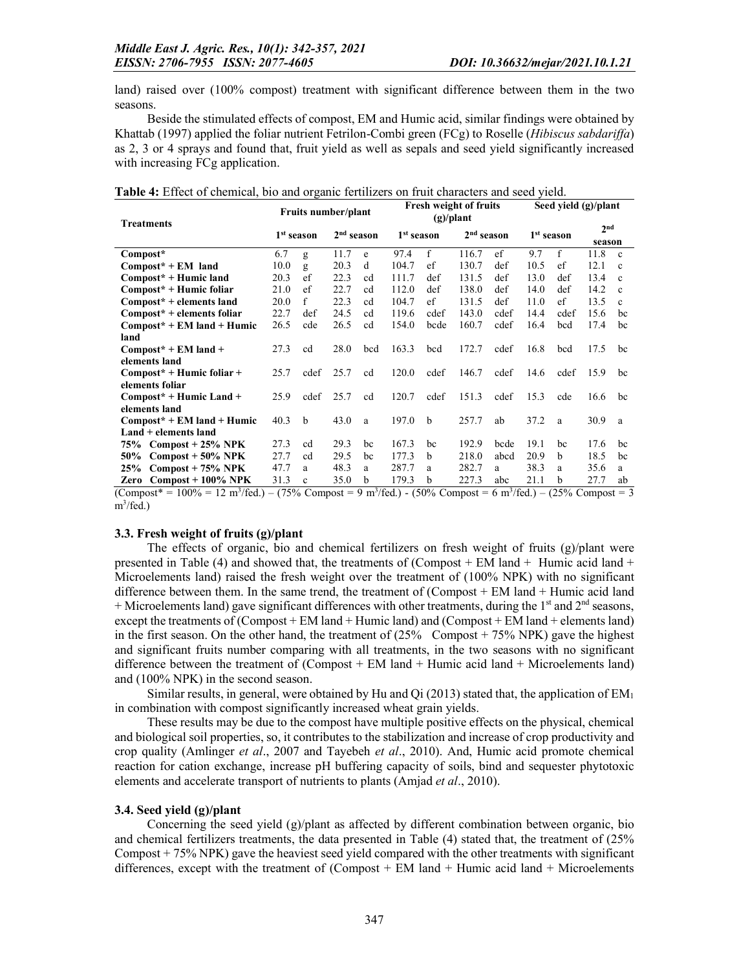land) raised over (100% compost) treatment with significant difference between them in the two seasons.

Beside the stimulated effects of compost, EM and Humic acid, similar findings were obtained by Khattab (1997) applied the foliar nutrient Fetrilon-Combi green (FCg) to Roselle (*Hibiscus sabdariffa*) as 2, 3 or 4 sprays and found that, fruit yield as well as sepals and seed yield significantly increased with increasing FCg application.

| <b>Treatments</b>                                                                       |                        | Fruits number/plant |              |     |                        |              | <b>Fresh weight of fruits</b><br>$(g)/\text{plant}$                                        |      | Seed yield $(g)/$ plant |                            |               |              |  |
|-----------------------------------------------------------------------------------------|------------------------|---------------------|--------------|-----|------------------------|--------------|--------------------------------------------------------------------------------------------|------|-------------------------|----------------------------|---------------|--------------|--|
|                                                                                         | 1 <sup>st</sup> season |                     | $2nd$ season |     | 1 <sup>st</sup> season |              | $2nd$ season                                                                               |      |                         | 1 <sup>st</sup> season     | 2nd<br>season |              |  |
| Compost*                                                                                | 6.7                    | g                   | 11.7         | e   | 97.4                   | f            | 116.7                                                                                      | ef   | 9.7                     | f                          | 11.8          | $\mathbf{c}$ |  |
| $Compost* + EM$ land                                                                    | 10.0                   | g                   | 20.3         | d   | 104.7                  | ef           | 130.7                                                                                      | def  | 10.5                    | ef                         | 12.1          | $\mathbf{c}$ |  |
| Compost* + Humic land                                                                   | 20.3                   | ef                  | 22.3         | cd  | 111.7                  | def          | 131.5                                                                                      | def  | 13.0                    | def                        | 13.4          | $\mathbf{c}$ |  |
| Compost* + Humic foliar                                                                 | 21.0                   | ef                  | 22.7         | cd  | 112.0                  | def          | 138.0                                                                                      | def  | 14.0                    | def                        | 14.2          | $\mathbf{c}$ |  |
| $Compost* + elements$ land                                                              | 20.0                   | f                   | 22.3         | cd  | 104.7                  | ef           | 131.5                                                                                      | def  | 11.0                    | ef                         | 13.5          | $\mathbf{c}$ |  |
| $Compost* + elements foliar$                                                            | 22.7                   | def                 | 24.5         | cd  | 119.6                  | cdef         | 143.0                                                                                      | cdef | 14.4                    | cdef                       | 15.6          | bc           |  |
| $Compost* + EM$ land + Humic                                                            | 26.5                   | cde                 | 26.5         | cd  | 154.0                  | bcde         | 160.7                                                                                      | cdef | 16.4                    | bcd                        | 17.4          | bc           |  |
| land                                                                                    |                        |                     |              |     |                        |              |                                                                                            |      |                         |                            |               |              |  |
| $Compost^*$ + EM land +                                                                 | 27.3                   | cd                  | 28.0         | bed | 163.3                  | bed          | 172.7                                                                                      | cdef | 16.8                    | bed                        | 17.5          | bc           |  |
| elements land                                                                           |                        |                     |              |     |                        |              |                                                                                            |      |                         |                            |               |              |  |
| $Compost* + Humic foliar +$                                                             | 25.7                   | cdef                | 25.7         | cd  | 120.0                  | cdef         | 146.7                                                                                      | cdef | 14.6                    | cdef                       | 15.9          | bc           |  |
| elements foliar                                                                         |                        |                     |              |     |                        |              |                                                                                            |      |                         |                            |               |              |  |
| $Compost* + Humic Land +$                                                               | 25.9                   | cdef                | 25.7         | cd  | 120.7                  | cdef         | 151.3                                                                                      | cdef | 15.3                    | cde                        | 16.6          | bc           |  |
| elements land                                                                           |                        |                     |              |     |                        |              |                                                                                            |      |                         |                            |               |              |  |
| $Compost* + EM$ land + Humic                                                            | 40.3                   | b                   | 43.0         | a   | 197.0                  | b            | 257.7                                                                                      | ab   | 37.2                    | a                          | 30.9          | a            |  |
| Land + elements land                                                                    |                        |                     |              |     |                        |              |                                                                                            |      |                         |                            |               |              |  |
| $75\%$ Compost + 25% NPK                                                                | 27.3                   | cd                  | 29.3         | bc  | 167.3                  | bc           | 192.9                                                                                      | bcde | 19.1                    | bc                         | 17.6          | bc           |  |
| $Compost + 50\% NPK$<br>50%                                                             | 27.7                   | cd                  | 29.5         | bc  | 177.3                  | <sub>b</sub> | 218.0                                                                                      | abcd | 20.9                    | b                          | 18.5          | bc           |  |
| $Compost + 75\% NPK$<br>25%                                                             | 47.7                   | a                   | 48.3         | a   | 287.7                  | a            | 282.7                                                                                      | a    | 38.3                    | a                          | 35.6          | a            |  |
| $Compost + 100\% NPK$<br>Zero<br>$(C_{\rm{ompost}}^* = 1000/100 \text{ m}^3/\text{fod}$ | 31.3                   | $\mathbf{c}$        | 35.0         | b   | 179.3                  | h            | 227.3<br>$(750/$ Compact = 0 m <sup>3</sup> /fod) $(500/$ Compact = 6 m <sup>3</sup> /fod) | abc  | 21.1                    | b<br>$(250/$ Compact $= 2$ | 27.7          | ab           |  |

Table 4: Effect of chemical, bio and organic fertilizers on fruit characters and seed yield.

 $(Compost^* = 100\% = 12 \text{ m}^3/\text{fed.}) - (75\% \text{ Compost} = 9 \text{ m}^3/\text{fed.}) - (50\% \text{ Compost} = 6 \text{ m}^3/\text{fed.}) - (25\% \text{ Compost} = 3$ m<sup>3</sup>/fed.)

## 3.3. Fresh weight of fruits (g)/plant

The effects of organic, bio and chemical fertilizers on fresh weight of fruits  $(g)/$ plant were presented in Table (4) and showed that, the treatments of (Compost  $+$  EM land  $+$  Humic acid land  $+$ Microelements land) raised the fresh weight over the treatment of (100% NPK) with no significant difference between them. In the same trend, the treatment of (Compost + EM land + Humic acid land + Microelements land) gave significant differences with other treatments, during the  $1<sup>st</sup>$  and  $2<sup>nd</sup>$  seasons, except the treatments of  $(Compost + EM \cdot Hamic \cdot land)$  and  $(Compost + EM \cdot land + elements \cdot land)$ in the first season. On the other hand, the treatment of  $(25\%$  Compost + 75% NPK) gave the highest and significant fruits number comparing with all treatments, in the two seasons with no significant difference between the treatment of (Compost + EM land + Humic acid land + Microelements land) and (100% NPK) in the second season.

Similar results, in general, were obtained by Hu and Qi (2013) stated that, the application of  $EM_1$ in combination with compost significantly increased wheat grain yields.

These results may be due to the compost have multiple positive effects on the physical, chemical and biological soil properties, so, it contributes to the stabilization and increase of crop productivity and crop quality (Amlinger *et al*., 2007 and Tayebeh *et al*., 2010). And, Humic acid promote chemical reaction for cation exchange, increase pH buffering capacity of soils, bind and sequester phytotoxic elements and accelerate transport of nutrients to plants (Amjad *et al*., 2010).

## 3.4. Seed yield (g)/plant

Concerning the seed yield (g)/plant as affected by different combination between organic, bio and chemical fertilizers treatments, the data presented in Table (4) stated that, the treatment of (25% Compost + 75% NPK) gave the heaviest seed yield compared with the other treatments with significant differences, except with the treatment of (Compost + EM land + Humic acid land + Microelements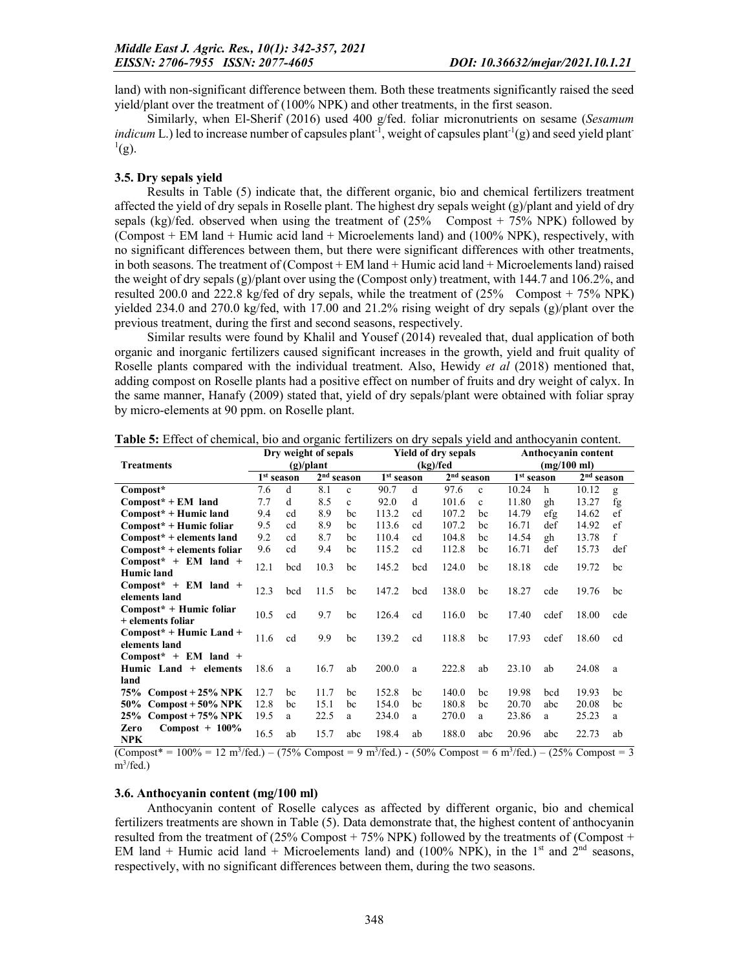land) with non-significant difference between them. Both these treatments significantly raised the seed yield/plant over the treatment of (100% NPK) and other treatments, in the first season.

Similarly, when El-Sherif (2016) used 400 g/fed. foliar micronutrients on sesame (*Sesamum indicum* L.) led to increase number of capsules plant<sup>-1</sup>, weight of capsules plant<sup>-1</sup>(g) and seed yield plant<sup>-1</sup>  $^{1}$ (g).

#### 3.5. Dry sepals yield

Results in Table (5) indicate that, the different organic, bio and chemical fertilizers treatment affected the yield of dry sepals in Roselle plant. The highest dry sepals weight  $(g)/$ plant and yield of dry sepals (kg)/fed. observed when using the treatment of  $(25\%$  Compost + 75% NPK) followed by (Compost + EM land + Humic acid land + Microelements land) and (100% NPK), respectively, with no significant differences between them, but there were significant differences with other treatments, in both seasons. The treatment of (Compost + EM land + Humic acid land + Microelements land) raised the weight of dry sepals (g)/plant over using the (Compost only) treatment, with 144.7 and 106.2%, and resulted 200.0 and 222.8 kg/fed of dry sepals, while the treatment of  $(25\%$  Compost + 75% NPK) yielded 234.0 and 270.0 kg/fed, with 17.00 and 21.2% rising weight of dry sepals (g)/plant over the previous treatment, during the first and second seasons, respectively.

Similar results were found by Khalil and Yousef (2014) revealed that, dual application of both organic and inorganic fertilizers caused significant increases in the growth, yield and fruit quality of Roselle plants compared with the individual treatment. Also, Hewidy *et al* (2018) mentioned that, adding compost on Roselle plants had a positive effect on number of fruits and dry weight of calyx. In the same manner, Hanafy (2009) stated that, yield of dry sepals/plant were obtained with foliar spray by micro-elements at 90 ppm. on Roselle plant.

|                              |      |                        | Dry weight of sepals |              |                        |     | <b>Yield of dry sepals</b> |              | Anthocyanin content    |                       |                        |     |  |
|------------------------------|------|------------------------|----------------------|--------------|------------------------|-----|----------------------------|--------------|------------------------|-----------------------|------------------------|-----|--|
| <b>Treatments</b>            |      |                        | $(g)/\text{plant}$   |              |                        |     | (kg)/fed                   |              |                        | $(mg/100 \text{ ml})$ |                        |     |  |
|                              |      | 1 <sup>st</sup> season | $2nd$ season         |              | 1 <sup>st</sup> season |     | 2 <sup>nd</sup> season     |              | 1 <sup>st</sup> season |                       | 2 <sup>nd</sup> season |     |  |
| Compost*                     | 7.6  | d                      | 8.1                  | $\mathbf{c}$ | 90.7                   | d   | 97.6                       | $\mathbf{c}$ | 10.24                  | h                     | 10.12                  | g   |  |
| $Compost* + EM$ land         | 7.7  | d                      | 8.5                  | $\mathbf{c}$ | 92.0                   | d   | 101.6                      | $\mathbf{c}$ | 11.80                  | gh                    | 13.27                  | fg  |  |
| $Compost^* + Humic land$     | 9.4  | cd                     | 8.9                  | bc           | 113.2                  | cd  | 107.2                      | bc           | 14.79                  | efg                   | 14.62                  | ef  |  |
| $Compost^*$ + Humic foliar   | 9.5  | cd                     | 8.9                  | bc           | 113.6                  | cd  | 107.2                      | bc           | 16.71                  | def                   | 14.92                  | ef  |  |
| $Compost* + elements land$   | 9.2  | cd                     | 8.7                  | bc           | 110.4                  | cd  | 104.8                      | bc           | 14.54                  | gh                    | 13.78                  | f   |  |
| $Compost* + elements foliar$ | 9.6  | cd                     | 9.4                  | bc           | 115.2                  | cd  | 112.8                      | bc           | 16.71                  | def                   | 15.73                  | def |  |
| $Compost^* + EM$ land +      | 12.1 | bcd                    | 10.3                 | bc           | 145.2                  | bcd | 124.0                      | bc           | 18.18                  | cde                   | 19.72                  | bc  |  |
| <b>Humic</b> land            |      |                        |                      |              |                        |     |                            |              |                        |                       |                        |     |  |
| $Compost^* + EM$ land +      | 12.3 | bcd                    | 11.5                 | bc           | 147.2                  | bed | 138.0                      | bc           | 18.27                  | cde                   | 19.76                  | bc  |  |
| elements land                |      |                        |                      |              |                        |     |                            |              |                        |                       |                        |     |  |
| $Compost^*$ + Humic foliar   | 10.5 | cd                     | 9.7                  | bc           | 126.4                  | cd  | 116.0                      | bc           | 17.40                  | cdef                  | 18.00                  | cde |  |
| + elements foliar            |      |                        |                      |              |                        |     |                            |              |                        |                       |                        |     |  |
| $Compost* + Humic Land +$    | 11.6 | cd                     | 9.9                  | bc           | 139.2                  | cd  | 118.8                      | bc           | 17.93                  | cdef                  | 18.60                  | cd  |  |
| elements land                |      |                        |                      |              |                        |     |                            |              |                        |                       |                        |     |  |
| $Compost^* + EM$ land +      |      |                        |                      |              |                        |     |                            |              |                        |                       |                        |     |  |
| Humic Land $+$ elements      | 18.6 | a                      | 16.7                 | ab           | 200.0                  | a   | 222.8                      | ab           | 23.10                  | ab                    | 24.08                  | a   |  |
| land                         |      |                        |                      |              |                        |     |                            |              |                        |                       |                        |     |  |
| 75%<br>$Compost + 25\% NPK$  | 12.7 | bc                     | 11.7                 | bc           | 152.8                  | bc  | 140.0                      | bc           | 19.98                  | bed                   | 19.93                  | bc  |  |
| $Compost + 50\% NPK$<br>50%  | 12.8 | bc                     | 15.1                 | bc           | 154.0                  | bc  | 180.8                      | bc           | 20.70                  | abc                   | 20.08                  | bc  |  |
| 25%<br>$Compost + 75\% NPK$  | 19.5 | a                      | 22.5                 | a            | 234.0                  | a   | 270.0                      | a            | 23.86                  | a                     | 25.23                  | a   |  |
| $Compost + 100\%$<br>Zero    | 16.5 | ab                     | 15.7                 | abc          | 198.4                  | ab  | 188.0                      | abc          | 20.96                  | abc                   | 22.73                  | ab  |  |
| <b>NPK</b>                   |      |                        |                      |              |                        |     |                            |              |                        |                       |                        |     |  |

Table 5: Effect of chemical, bio and organic fertilizers on dry sepals yield and anthocyanin content.

 $(Compost^* = 100\% = 12 \text{ m}^3/\text{fed.}) - (75\% \text{ Compost} = 9 \text{ m}^3/\text{fed.}) - (50\% \text{ Compost} = 6 \text{ m}^3/\text{fed.}) - (25\% \text{ Compost} = 3$ m<sup>3</sup>/fed.)

#### 3.6. Anthocyanin content (mg/100 ml)

Anthocyanin content of Roselle calyces as affected by different organic, bio and chemical fertilizers treatments are shown in Table (5). Data demonstrate that, the highest content of anthocyanin resulted from the treatment of  $(25\%$  Compost + 75% NPK) followed by the treatments of (Compost + EM land + Humic acid land + Microelements land) and (100% NPK), in the 1<sup>st</sup> and 2<sup>nd</sup> seasons, respectively, with no significant differences between them, during the two seasons.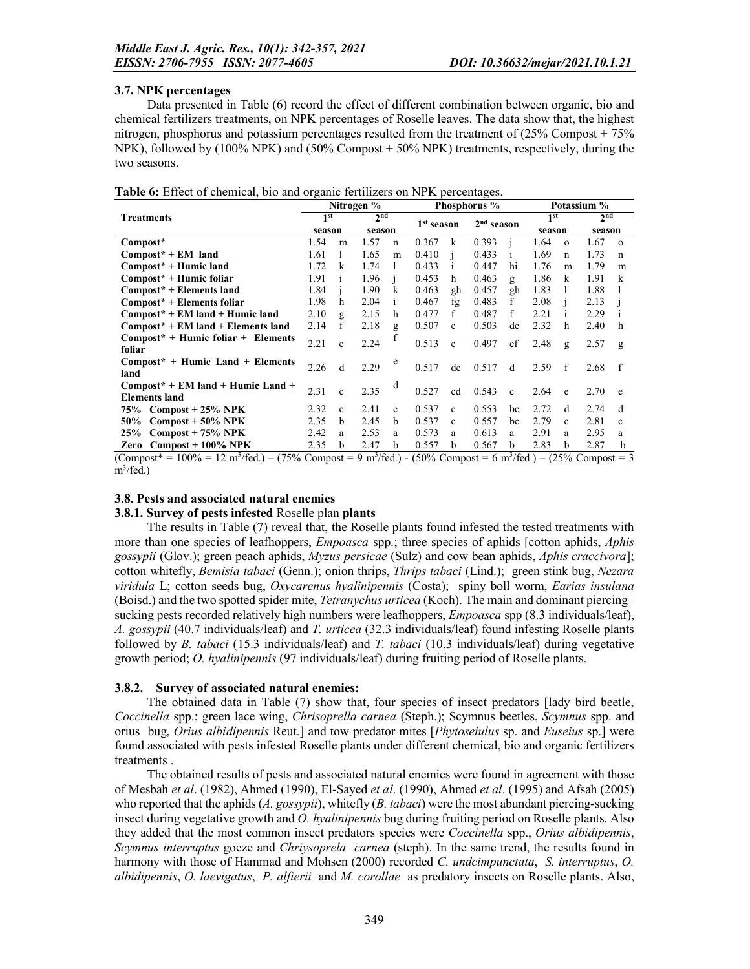#### 3.7. NPK percentages

Data presented in Table (6) record the effect of different combination between organic, bio and chemical fertilizers treatments, on NPK percentages of Roselle leaves. The data show that, the highest nitrogen, phosphorus and potassium percentages resulted from the treatment of (25% Compost + 75% NPK), followed by (100% NPK) and (50% Compost + 50% NPK) treatments, respectively, during the two seasons.

|  | Table 6: Effect of chemical, bio and organic fertilizers on NPK percentages. |  |  |  |  |  |
|--|------------------------------------------------------------------------------|--|--|--|--|--|
|--|------------------------------------------------------------------------------|--|--|--|--|--|

|                                                                                                                                                  |                 |              | Nitrogen %      |              | Phosphorus %           |              |                        |              | Potassium %     |             |                 |              |
|--------------------------------------------------------------------------------------------------------------------------------------------------|-----------------|--------------|-----------------|--------------|------------------------|--------------|------------------------|--------------|-----------------|-------------|-----------------|--------------|
| <b>Treatments</b>                                                                                                                                | 1 <sup>st</sup> |              | 2 <sup>nd</sup> |              | 1 <sup>st</sup> season |              | 2 <sup>nd</sup> season |              | 1 <sup>st</sup> |             | 2 <sub>nd</sub> |              |
|                                                                                                                                                  | season          |              | season          |              |                        |              |                        |              | season          |             | season          |              |
| Compost*                                                                                                                                         | 1.54            | m            | 1.57            | $\mathbf n$  | 0.367                  | k            | 0.393                  |              | 1.64            | $\Omega$    | 1.67            | $\Omega$     |
| $Compost^*$ + EM land                                                                                                                            | 1.61            |              | 1.65            | m            | 0.410                  |              | 0.433                  |              | 1.69            | $\mathbf n$ | 1.73            | $\mathbf n$  |
| Compost* + Humic land                                                                                                                            | 1.72            | k            | 1.74            |              | 0.433                  | $\mathbf{1}$ | 0.447                  | hi           | 1.76            | m           | 1.79            | m            |
| Compost* + Humic foliar                                                                                                                          | 1.91            | $\mathbf{1}$ | 1.96            |              | 0.453                  | h.           | 0.463                  | g            | 1.86            | k           | 1.91            | k            |
| Compost* + Elements land                                                                                                                         | 1.84            |              | 1.90            | k            | 0.463                  | gh           | 0.457                  | gh           | 1.83            |             | 1.88            |              |
| $Compost* + Elements foliar$                                                                                                                     | 1.98            | h            | 2.04            | $\mathbf{1}$ | 0.467                  | fφ           | 0.483                  | f            | 2.08            |             | 2.13            |              |
| $Compost* + EM$ land + Humic land                                                                                                                | 2.10            | $\mathbf{g}$ | 2.15            | h            | 0.477                  | f            | 0.487                  | f            | 2.21            |             | 2.29            | 1            |
| Compost* + EM land + Elements land                                                                                                               | 2.14            | f            | 2.18            | $\mathbf{g}$ | 0.507                  | e            | 0.503                  | de           | 2.32            | h           | 2.40            | h            |
| $Compost* + Humic foliar + Elements$                                                                                                             | 2.21            |              | 2.24            |              | 0.513                  |              | 0.497                  | ef           |                 |             |                 |              |
| foliar                                                                                                                                           |                 | e            |                 |              |                        | e            |                        |              | 2.48            | g           | 2.57            | $\mathbf{g}$ |
| $Compost^*$ + Humic Land + Elements                                                                                                              | 2.26            | d            | 2.29            | e            | 0.517                  | de           | 0.517                  | d            | 2.59            | f           | 2.68            | f            |
| land                                                                                                                                             |                 |              |                 |              |                        |              |                        |              |                 |             |                 |              |
| $Compost* + EM$ land + Humic Land +                                                                                                              | 2.31            | $\mathbf{c}$ | 2.35            | d            | 0.527                  | cd           | 0.543                  | $\mathbf{c}$ | 2.64            | e           | 2.70            | e            |
| <b>Elements land</b>                                                                                                                             |                 |              |                 |              |                        |              |                        |              |                 |             |                 |              |
| 75% Compost + 25% NPK                                                                                                                            | 2.32            | $\mathbf{c}$ | 2.41            | $\mathbf{c}$ | 0.537                  | $\mathbf{c}$ | 0.553                  | bc           | 2.72            | d           | 2.74            | d            |
| $Compost + 50\% NPK$<br>50%                                                                                                                      | 2.35            | b            | 2.45            | b            | 0.537                  | $\mathbf{c}$ | 0.557                  | bc           | 2.79            | c           | 2.81            | $\mathbf{c}$ |
| $Compost + 75\% NPK$<br>25%                                                                                                                      | 2.42            | a            | 2.53            | a            | 0.573                  | a            | 0.613                  | a            | 2.91            | a           | 2.95            | a            |
| Zero Compost + 100% NPK                                                                                                                          | 2.35            | b            | 2.47            | b            | 0.557                  | b.           | 0.567                  | b            | 2.83            | b.          | 2.87            | b            |
| (Compost* = 100% = 12 m <sup>3</sup> /fed ) – (75% Compost = 9 m <sup>3</sup> /fed ) - (50% Compost = 6 m <sup>3</sup> /fed ) – (25% Compost = 3 |                 |              |                 |              |                        |              |                        |              |                 |             |                 |              |

 $12 \text{ m}/\text{Re}$ .  $/$ fed.) – (75% Compost = 9 m<sup>3</sup>/fed.) - (50% Compost = 6 m<sup>3</sup>/fed.) – (25% Compost = 3 m<sup>3</sup>/fed.)

#### 3.8. Pests and associated natural enemies

#### 3.8.1. Survey of pests infested Roselle plan plants

The results in Table (7) reveal that, the Roselle plants found infested the tested treatments with more than one species of leafhoppers, *Empoasca* spp.; three species of aphids [cotton aphids, *Aphis gossypii* (Glov.); green peach aphids, *Myzus persicae* (Sulz) and cow bean aphids, *Aphis craccivora*]; cotton whitefly, *Bemisia tabaci* (Genn.); onion thrips, *Thrips tabaci* (Lind.); green stink bug, *Nezara viridula* L; cotton seeds bug, *Oxycarenus hyalinipennis* (Costa); spiny boll worm, *Earias insulana* (Boisd.) and the two spotted spider mite, *Tetranychus urticea* (Koch). The main and dominant piercing– sucking pests recorded relatively high numbers were leafhoppers, *Empoasca* spp (8.3 individuals/leaf), *A. gossypii* (40.7 individuals/leaf) and *T. urticea* (32.3 individuals/leaf) found infesting Roselle plants followed by *B. tabaci* (15.3 individuals/leaf) and *T. tabaci* (10.3 individuals/leaf) during vegetative growth period; *O. hyalinipennis* (97 individuals/leaf) during fruiting period of Roselle plants.

#### 3.8.2. Survey of associated natural enemies:

The obtained data in Table (7) show that, four species of insect predators [lady bird beetle, *Coccinella* spp.; green lace wing, *Chrisoprella carnea* (Steph.); Scymnus beetles, *Scymnus* spp. and orius bug, *Orius albidipennis* Reut.] and tow predator mites [*Phytoseiulus* sp. and *Euseius* sp.] were found associated with pests infested Roselle plants under different chemical, bio and organic fertilizers treatments .

The obtained results of pests and associated natural enemies were found in agreement with those of Mesbah *et al*. (1982), Ahmed (1990), El-Sayed *et al*. (1990), Ahmed *et al*. (1995) and Afsah (2005) who reported that the aphids (*A. gossypii*), whitefly (*B. tabaci*) were the most abundant piercing-sucking insect during vegetative growth and *O. hyalinipennis* bug during fruiting period on Roselle plants. Also they added that the most common insect predators species were *Coccinella* spp., *Orius albidipennis*, *Scymnus interruptus* goeze and *Chriysoprela carnea* (steph). In the same trend, the results found in harmony with those of Hammad and Mohsen (2000) recorded *C. undcimpunctata*, *S. interruptus*, *O. albidipennis*, *O. laevigatus*, *P. alfierii* and *M. corollae* as predatory insects on Roselle plants. Also,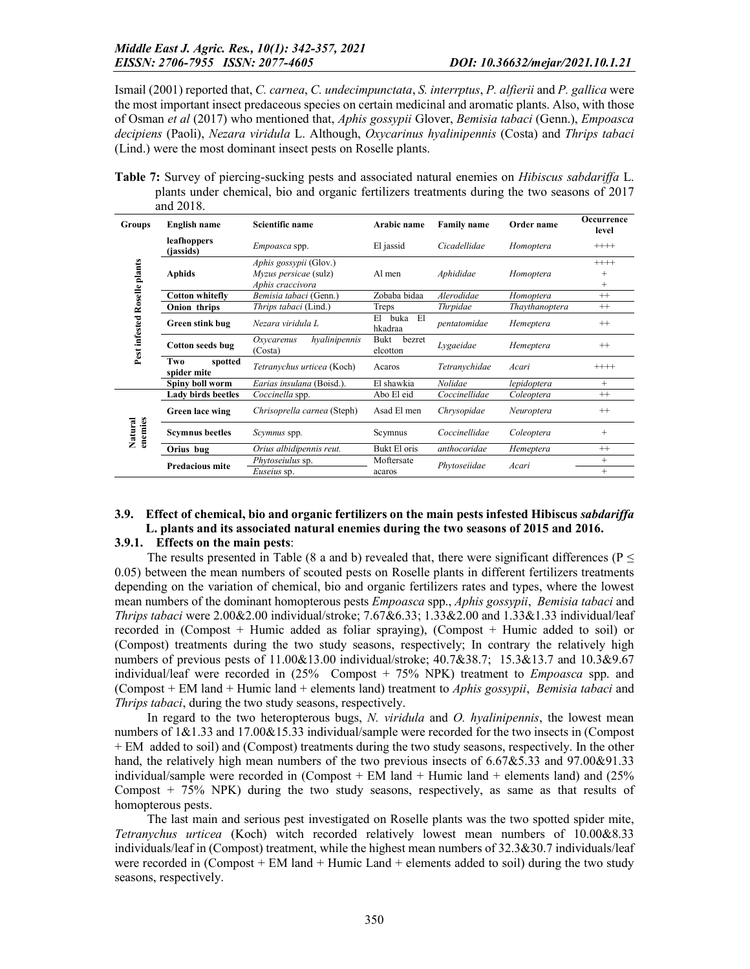Ismail (2001) reported that, *C. carnea*, *C. undecimpunctata*, *S. interrptus*, *P. alfierii* and *P. gallica* were the most important insect predaceous species on certain medicinal and aromatic plants. Also, with those of Osman *et al* (2017) who mentioned that, *Aphis gossypii* Glover, *Bemisia tabaci* (Genn.), *Empoasca decipiens* (Paoli), *Nezara viridula* L. Although, *Oxycarinus hyalinipennis* (Costa) and *Thrips tabaci* (Lind.) were the most dominant insect pests on Roselle plants.

Table 7: Survey of piercing-sucking pests and associated natural enemies on *Hibiscus sabdariffa* L. plants under chemical, bio and organic fertilizers treatments during the two seasons of 2017 and 2018.

| Groups                       | <b>English name</b>               | <b>Scientific name</b>                                                     | Arabic name                 | <b>Family name</b> | Order name     | Occurrence<br>level        |
|------------------------------|-----------------------------------|----------------------------------------------------------------------------|-----------------------------|--------------------|----------------|----------------------------|
|                              | leafhoppers<br>( <i>iassids</i> ) | <i>Empoasca</i> spp.                                                       | El jassid                   | Cicadellidae       | Homoptera      | $^{+++}$                   |
| Pest infested Roselle plants | Aphids                            | <i>Aphis gossypii</i> (Glov.)<br>Myzus persicae (sulz)<br>Aphis craccivora | Al men                      | Aphididae          | Homoptera      | $++++$<br>$^{+}$<br>$^{+}$ |
|                              | <b>Cotton whitefly</b>            | Bemisia tabaci (Genn.)                                                     | Zobaba bidaa                | Alerodidae         | Homoptera      | $^{++}$                    |
|                              | Onion thrips                      | Thrips tabaci (Lind.)                                                      | Treps                       | <i>Thrpidae</i>    | Thaythanoptera | $^{++}$                    |
|                              | Green stink bug                   | Nezara viridula L                                                          | buka<br>El<br>El<br>hkadraa | pentatomidae       | Hemeptera      | $^{++}$                    |
|                              | Cotton seeds bug                  | hyalinipennis<br>Oxycarenus<br>(Costa)                                     | Bukt<br>bezret<br>elcotton  | Lygaeidae          | Hemeptera      | $^{++}$                    |
|                              | Two<br>spotted<br>spider mite     | Tetranychus urticea (Koch)                                                 | Acaros                      | Tetranychidae      | Acari          | $^{+++}$                   |
|                              | Spiny boll worm                   | Earias insulana (Boisd.).                                                  | El shawkia                  | Nolidae            | lepidoptera    | $+$                        |
|                              | <b>Lady birds beetles</b>         | Coccinella spp.                                                            | Abo El eid                  | Coccinellidae      | Coleoptera     | $^{++}$                    |
|                              | <b>Green lace wing</b>            | Chrisoprella carnea (Steph)                                                | Asad El men                 | Chrysopidae        | Neuroptera     | $^{++}$                    |
| enemies<br>Natural           | <b>Scymnus</b> beetles            | <i>Scymnus</i> spp.                                                        | Scymnus                     | Coccinellidae      | Coleoptera     | $+$                        |
|                              | Orius bug                         | Orius albidipennis reut.                                                   | Bukt El oris                | anthocoridae       | Hemeptera      | $^{++}$                    |
|                              | <b>Predacious mite</b>            | <i>Phytoseiulus</i> sp.                                                    | Moftersate                  | Phytoseiidae       | Acari          | $+$                        |
|                              |                                   | Euseius sp.                                                                | acaros                      |                    |                | $+$                        |

## 3.9. Effect of chemical, bio and organic fertilizers on the main pests infested Hibiscus *sabdariffa* L. plants and its associated natural enemies during the two seasons of 2015 and 2016.

#### 3.9.1. Effects on the main pests:

The results presented in Table (8 a and b) revealed that, there were significant differences ( $P \leq$ 0.05) between the mean numbers of scouted pests on Roselle plants in different fertilizers treatments depending on the variation of chemical, bio and organic fertilizers rates and types, where the lowest mean numbers of the dominant homopterous pests *Empoasca* spp., *Aphis gossypii*, *Bemisia tabaci* and *Thrips tabaci* were 2.00&2.00 individual/stroke; 7.67&6.33; 1.33&2.00 and 1.33&1.33 individual/leaf recorded in (Compost + Humic added as foliar spraying), (Compost + Humic added to soil) or (Compost) treatments during the two study seasons, respectively; In contrary the relatively high numbers of previous pests of 11.00&13.00 individual/stroke; 40.7&38.7; 15.3&13.7 and 10.3&9.67 individual/leaf were recorded in (25% Compost + 75% NPK) treatment to *Empoasca* spp. and (Compost + EM land + Humic land + elements land) treatment to *Aphis gossypii*, *Bemisia tabaci* and *Thrips tabaci*, during the two study seasons, respectively.

In regard to the two heteropterous bugs, *N. viridula* and *O. hyalinipennis*, the lowest mean numbers of 1&1.33 and 17.00&15.33 individual/sample were recorded for the two insects in (Compost + EM added to soil) and (Compost) treatments during the two study seasons, respectively. In the other hand, the relatively high mean numbers of the two previous insects of 6.67&5.33 and 97.00&91.33 individual/sample were recorded in (Compost  $+$  EM land  $+$  Humic land  $+$  elements land) and (25% Compost + 75% NPK) during the two study seasons, respectively, as same as that results of homopterous pests.

The last main and serious pest investigated on Roselle plants was the two spotted spider mite, *Tetranychus urticea* (Koch) witch recorded relatively lowest mean numbers of 10.00&8.33 individuals/leaf in (Compost) treatment, while the highest mean numbers of 32.3&30.7 individuals/leaf were recorded in (Compost  $+$  EM land  $+$  Humic Land  $+$  elements added to soil) during the two study seasons, respectively.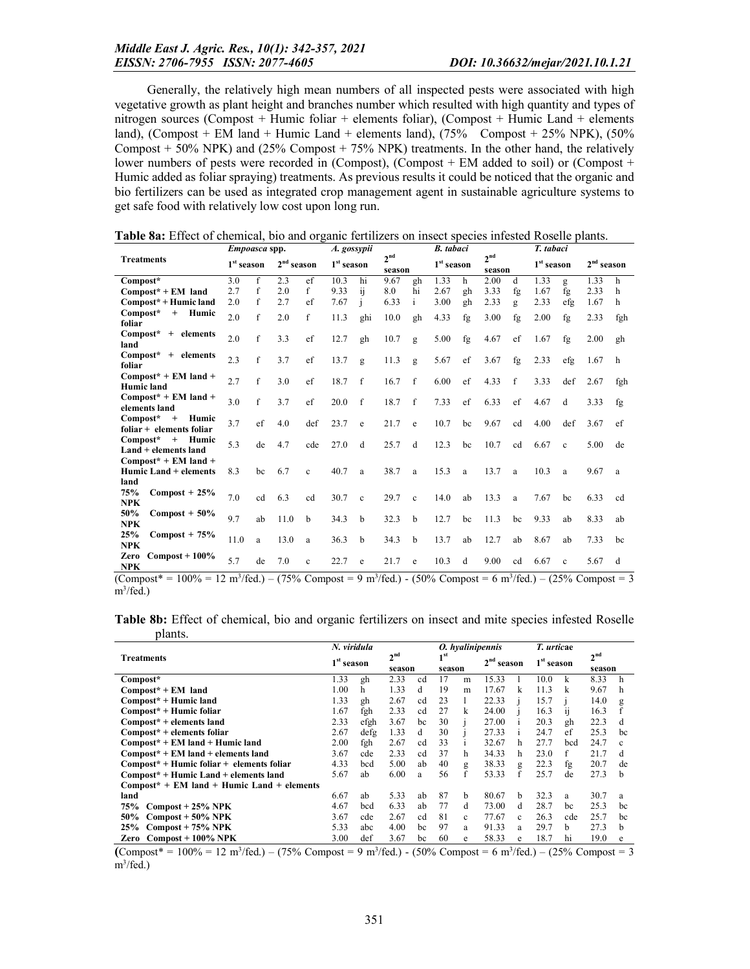Generally, the relatively high mean numbers of all inspected pests were associated with high vegetative growth as plant height and branches number which resulted with high quantity and types of nitrogen sources (Compost + Humic foliar + elements foliar), (Compost + Humic Land + elements land), (Compost + EM land + Humic Land + elements land),  $(75\%$  Compost + 25% NPK),  $(50\%$ Compost  $+$  50% NPK) and (25% Compost  $+$  75% NPK) treatments. In the other hand, the relatively lower numbers of pests were recorded in (Compost), (Compost + EM added to soil) or (Compost + Humic added as foliar spraying) treatments. As previous results it could be noticed that the organic and bio fertilizers can be used as integrated crop management agent in sustainable agriculture systems to get safe food with relatively low cost upon long run.

|                                                          | <i>Empoasca</i> spp.   |              |              | A. gossypii  |                        |              | <b>B.</b> tabaci          |              |                        | T. tabaci |                           |              |                        |              |              |     |
|----------------------------------------------------------|------------------------|--------------|--------------|--------------|------------------------|--------------|---------------------------|--------------|------------------------|-----------|---------------------------|--------------|------------------------|--------------|--------------|-----|
| <b>Treatments</b>                                        | 1 <sup>st</sup> season |              | $2nd$ season |              | 1 <sup>st</sup> season |              | 2 <sub>nd</sub><br>season |              | 1 <sup>st</sup> season |           | 2 <sub>nd</sub><br>season |              | 1 <sup>st</sup> season |              | $2nd$ season |     |
| Compost*                                                 | 3.0                    | f            | 2.3          | ef           | 10.3                   | hi           | 9.67                      | gh           | 1.33                   | h         | 2.00                      | d            | 1.33                   | g            | 1.33         | h   |
| $Compost* + EM$ land                                     | 2.7                    | f            | 2.0          | f            | 9.33                   | ij           | 8.0                       | hi           | 2.67                   | gh        | 3.33                      | fg           | 1.67                   | fg           | 2.33         | h   |
| Compost* + Humic land                                    | 2.0                    | f            | 2.7          | ef           | 7.67                   | i            | 6.33                      | $\mathbf{1}$ | 3.00                   | gh        | 2.33                      | g            | 2.33                   | efg          | 1.67         | h   |
| $Compost*$<br>+ Humic<br>foliar                          | 2.0                    | f            | 2.0          | f            | 11.3                   | ghi          | 10.0                      | gh           | 4.33                   | fg        | 3.00                      | fg           | 2.00                   | fg           | 2.33         | fgh |
| Compost* + elements<br>land                              | 2.0                    | $\mathbf f$  | 3.3          | ef           | 12.7                   | gh           | 10.7                      | g            | 5.00                   | fg        | 4.67                      | ef           | 1.67                   | fg           | 2.00         | gh  |
| Compost* + elements<br>foliar                            | 2.3                    | f            | 3.7          | ef           | 13.7                   | g            | 11.3                      | g            | 5.67                   | ef        | 3.67                      | fg           | 2.33                   | efg          | 1.67         | h   |
| $Compost* + EM$ land +<br>Humic land                     | 2.7                    | $\mathbf{f}$ | 3.0          | ef           | 18.7                   | f            | 16.7                      | f            | 6.00                   | ef        | 4.33                      | $\mathbf{f}$ | 3.33                   | def          | 2.67         | fgh |
| $Compost* + EM$ land +<br>elements land                  | 3.0                    | f            | 3.7          | ef           | 20.0                   | $\mathbf{f}$ | 18.7                      | f            | 7.33                   | ef        | 6.33                      | ef           | 4.67                   | d            | 3.33         | fg  |
| $Compost*$<br>$+$<br>Humic<br>$foliar + elements foliar$ | 3.7                    | ef           | 4.0          | def          | 23.7                   | e            | 21.7                      | e            | 10.7                   | bc        | 9.67                      | cd           | 4.00                   | def          | 3.67         | ef  |
| $Compost*$<br>$+$<br>Humic<br>Land + elements land       | 5.3                    | de           | 4.7          | cde          | 27.0                   | d            | 25.7                      | d            | 12.3                   | bc        | 10.7                      | cd           | 6.67                   | $\mathbf{c}$ | 5.00         | de  |
| $Compost* + EM$ land +<br>Humic Land + elements          | 8.3                    | bc           | 6.7          | $\mathbf{c}$ | 40.7                   | a            | 38.7                      | a            | 15.3                   | a         | 13.7                      | a            | 10.3                   | a            | 9.67         | a   |
| land                                                     |                        |              |              |              |                        |              |                           |              |                        |           |                           |              |                        |              |              |     |
| 75%<br>$Compost + 25%$<br><b>NPK</b>                     | 7.0                    | cd           | 6.3          | cd           | 30.7                   | $\mathbf{c}$ | 29.7                      | $\mathbf{c}$ | 14.0                   | ab        | 13.3                      | a            | 7.67                   | bc           | 6.33         | cd  |
| 50%<br>$Compost + 50\%$<br><b>NPK</b>                    | 9.7                    | ab           | 11.0         | b            | 34.3                   | b            | 32.3                      | b            | 12.7                   | bc        | 11.3                      | bc           | 9.33                   | ab           | 8.33         | ab  |
| 25%<br>$Compost + 75%$<br><b>NPK</b>                     | 11.0                   | a            | 13.0         | a            | 36.3                   | b            | 34.3                      | b            | 13.7                   | ab        | 12.7                      | ab           | 8.67                   | ab           | 7.33         | bc  |
| Zero<br>$Compost + 100\%$<br><b>NPK</b>                  | 5.7                    | de           | 7.0          | $\mathbf{c}$ | 22.7                   | e            | 21.7                      | e            | 10.3                   | d         | 9.00                      | cd           | 6.67                   | $\mathbf{c}$ | 5.67         | d   |

Table 8a: Effect of chemical, bio and organic fertilizers on insect species infested Roselle plants.

 $(Compost* = 100\% = 12 \text{ m}^3/\text{fed.}) - (75\% \text{ Compost} = 9 \text{ m}^3/\text{fed.}) - (50\% \text{ Compost} = 6 \text{ m}^3/\text{fed.}) - (25\% \text{ Compost} = 3$ m<sup>3</sup>/fed.)

|         |  |  |  | <b>Table 8b:</b> Effect of chemical, bio and organic fertilizers on insect and mite species infested Roselle |  |  |  |  |
|---------|--|--|--|--------------------------------------------------------------------------------------------------------------|--|--|--|--|
| plants. |  |  |  |                                                                                                              |  |  |  |  |

|                                              | N. viridula  |      |                 |        |    |        | O. hyalinipennis           |              | T. urticae   |     |                           |              |
|----------------------------------------------|--------------|------|-----------------|--------|----|--------|----------------------------|--------------|--------------|-----|---------------------------|--------------|
| <b>Treatments</b>                            | $1st$ season |      | 2 <sup>nd</sup> | season |    | season | 2 <sup>nd</sup><br>'season |              | $1st$ season |     | 2 <sup>nd</sup><br>season |              |
| Compost*                                     | 1.33         | gh   | 2.33            | cd     | 17 | m      | 15.33                      |              | 10.0         | k   | 8.33                      | h            |
| $Compost* + EM$ land                         | 1.00         | h    | 1.33            | d      | 19 | m      | 17.67                      | k            | 11.3         | k   | 9.67                      | h            |
| Compost* + Humic land                        | 1.33         | gh   | 2.67            | cd     | 23 |        | 22.33                      |              | 15.7         |     | 14.0                      | g            |
| $Compost* + Humic foliar$                    | 1.67         | fgh  | 2.33            | cd     | 27 | k      | 24.00                      |              | 16.3         | 11  | 16.3                      |              |
| Compost* + elements land                     | 2.33         | efgh | 3.67            | bc     | 30 |        | 27.00                      |              | 20.3         | gh  | 22.3                      | d            |
| Compost* + elements foliar                   | 2.67         | defg | 1.33            | d      | 30 |        | 27.33                      | $\mathbf{1}$ | 24.7         | ef  | 25.3                      | bc           |
| $Compost* + EM$ land + Humic land            | 2.00         | fgh  | 2.67            | cd     | 33 |        | 32.67                      | h            | 27.7         | bcd | 24.7                      | c            |
| $Compost* + EM$ land + elements land         | 3.67         | cde  | 2.33            | cd     | 37 | h      | 34.33                      | h            | 23.0         | f   | 21.7                      | d            |
| $Compost* + Humic foliar + elements foliar$  | 4.33         | bcd  | 5.00            | ab     | 40 | g      | 38.33                      | g            | 22.3         | fg  | 20.7                      | de           |
| Compost* + Humic Land + elements land        | 5.67         | ab   | 6.00            | a      | 56 | f      | 53.33                      | f            | 25.7         | de  | 27.3                      | <sub>b</sub> |
| $Compost* + EM$ land + Humic Land + elements |              |      |                 |        |    |        |                            |              |              |     |                           |              |
| land                                         | 6.67         | ab   | 5.33            | ab     | 87 | b      | 80.67                      | <sub>b</sub> | 32.3         | a   | 30.7                      | a            |
| $Compost + 25\% NPK$<br>75%                  | 4.67         | bcd  | 6.33            | ab     | 77 | d      | 73.00                      | d            | 28.7         | bc  | 25.3                      | bc           |
| 50%<br>$Compost + 50\% NPK$                  | 3.67         | cde  | 2.67            | cd     | 81 | c      | 77.67                      | c            | 26.3         | cde | 25.7                      | bc           |
| $Compost + 75\% NPK$<br>25%                  | 5.33         | abc  | 4.00            | bc     | 97 | a      | 91.33                      | a            | 29.7         | h.  | 27.3                      | h.           |
| Zero $Compost + 100\%$ NPK                   | 3.00         | def  | 3.67            | bc     | 60 | e      | 58.33                      | e            | 18.7         | hi  | 19.0                      | e            |

 $(Compost* = 100\% = 12 \text{ m}^3/\text{fed.}) - (75\% \text{ Compost} = 9 \text{ m}^3/\text{fed.}) - (50\% \text{ Compost} = 6 \text{ m}^3/\text{fed.}) - (25\% \text{ Compost} = 3$ m<sup>3</sup>/fed.)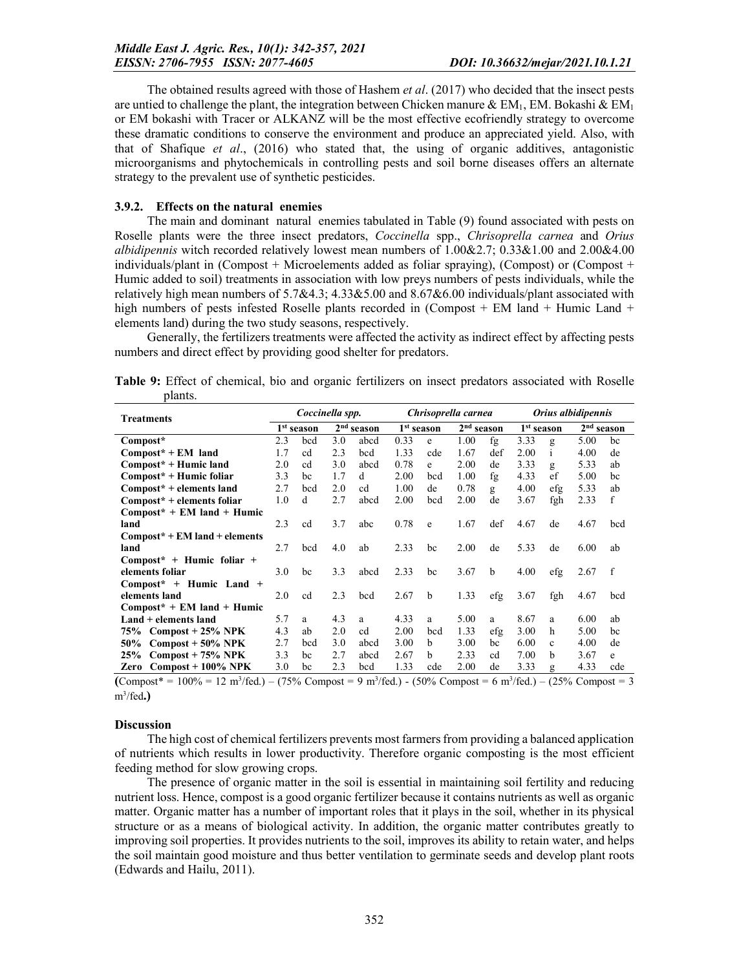The obtained results agreed with those of Hashem *et al*. (2017) who decided that the insect pests are untied to challenge the plant, the integration between Chicken manure  $\&$  EM<sub>1</sub>, EM. Bokashi  $\&$  EM<sub>1</sub> or EM bokashi with Tracer or ALKANZ will be the most effective ecofriendly strategy to overcome these dramatic conditions to conserve the environment and produce an appreciated yield. Also, with that of Shafique *et al*., (2016) who stated that, the using of organic additives, antagonistic microorganisms and phytochemicals in controlling pests and soil borne diseases offers an alternate strategy to the prevalent use of synthetic pesticides.

#### 3.9.2. Effects on the natural enemies

The main and dominant natural enemies tabulated in Table (9) found associated with pests on Roselle plants were the three insect predators, *Coccinella* spp., *Chrisoprella carnea* and *Orius albidipennis* witch recorded relatively lowest mean numbers of 1.00&2.7; 0.33&1.00 and 2.00&4.00 individuals/plant in (Compost + Microelements added as foliar spraying), (Compost) or (Compost + Humic added to soil) treatments in association with low preys numbers of pests individuals, while the relatively high mean numbers of 5.7&4.3; 4.33&5.00 and 8.67&6.00 individuals/plant associated with high numbers of pests infested Roselle plants recorded in (Compost + EM land + Humic Land + elements land) during the two study seasons, respectively.

Generally, the fertilizers treatments were affected the activity as indirect effect by affecting pests numbers and direct effect by providing good shelter for predators.

| Table 9: Effect of chemical, bio and organic fertilizers on insect predators associated with Roselle |  |  |  |  |  |
|------------------------------------------------------------------------------------------------------|--|--|--|--|--|
| plants.                                                                                              |  |  |  |  |  |

| <b>Treatments</b>               | Coccinella spp. |                        |     |              | Chrisoprella carnea |                        |      |              | Orius albidipennis |                        |      |                        |
|---------------------------------|-----------------|------------------------|-----|--------------|---------------------|------------------------|------|--------------|--------------------|------------------------|------|------------------------|
|                                 |                 | 1 <sup>st</sup> season |     | $2nd$ season |                     | 1 <sup>st</sup> season |      | $2nd$ season |                    | 1 <sup>st</sup> season |      | 2 <sup>nd</sup> season |
| Compost*                        | 2.3             | bcd                    | 3.0 | abcd         | 0.33                | e                      | 1.00 | fg           | 3.33               | g                      | 5.00 | bc                     |
| $Compost* + EM$ land            | 1.7             | cd                     | 2.3 | bcd          | 1.33                | cde                    | 1.67 | def          | 2.00               | $\mathbf{1}$           | 4.00 | de                     |
| Compost* + Humic land           | 2.0             | cd                     | 3.0 | abcd         | 0.78                | e                      | 2.00 | de           | 3.33               | $\mathbf{g}$           | 5.33 | ab                     |
| Compost* + Humic foliar         | 3.3             | bc                     | 1.7 | d            | 2.00                | bcd                    | 1.00 | fg           | 4.33               | ef                     | 5.00 | bc                     |
| $Compost* + elements$ land      | 2.7             | bcd                    | 2.0 | cd           | 1.00                | de                     | 0.78 | g            | 4.00               | efg                    | 5.33 | ab                     |
| Compost* + elements foliar      | 1.0             | d                      | 2.7 | abcd         | 2.00                | bcd                    | 2.00 | de           | 3.67               | fgh                    | 2.33 | f                      |
| $Compost^*$ + EM land + Humic   |                 |                        |     |              |                     |                        |      |              |                    |                        |      |                        |
| land                            | 2.3             | cd                     | 3.7 | abc          | 0.78                | e                      | 1.67 | def          | 4.67               | de                     | 4.67 | bcd                    |
| $Compost* + EM$ land + elements |                 |                        |     |              |                     |                        |      |              |                    |                        |      |                        |
| land                            | 2.7             | bcd                    | 4.0 | ab           | 2.33                | bc                     | 2.00 | de           | 5.33               | de                     | 6.00 | ab                     |
| $Compost^*$ + Humic foliar +    |                 |                        |     |              |                     |                        |      |              |                    |                        |      |                        |
| elements foliar                 | 3.0             | bc                     | 3.3 | abcd         | 2.33                | bc                     | 3.67 | b            | 4.00               | efg                    | 2.67 | $\mathbf{f}$           |
| $Compost^* + Humic Land +$      |                 |                        |     |              |                     |                        |      |              |                    |                        |      |                        |
| elements land                   | 2.0             | cd                     | 2.3 | bcd          | 2.67                | b                      | 1.33 | efg          | 3.67               | fgh                    | 4.67 | bcd                    |
| $Compost^*$ + EM land + Humic   |                 |                        |     |              |                     |                        |      |              |                    |                        |      |                        |
| Land + elements land            | 5.7             | a                      | 4.3 | a            | 4.33                | a                      | 5.00 | a            | 8.67               | a                      | 6.00 | ab                     |
| $Compost + 25\% NPK$<br>75%     | 4.3             | ab                     | 2.0 | cd           | 2.00                | bcd                    | 1.33 | efg          | 3.00               | h                      | 5.00 | bc                     |
| $Compost + 50\% NPK$<br>50%     | 2.7             | bcd                    | 3.0 | abcd         | 3.00                | <sub>b</sub>           | 3.00 | bc           | 6.00               | $\mathbf{c}$           | 4.00 | de                     |
| $Compost + 75\% NPK$<br>25%     | 3.3             | bc                     | 2.7 | abcd         | 2.67                | h                      | 2.33 | cd           | 7.00               | h                      | 3.67 | e                      |
| $Compost + 100\%$ NPK<br>Zero   | 3.0             | bc                     | 2.3 | bcd          | 1.33                | cde                    | 2.00 | de           | 3.33               | g                      | 4.33 | cde                    |

 $(0 Compost<sup>*</sup> = 100% = 12 m<sup>3</sup>/fed.) – (75% Compost = 9 m<sup>3</sup>/fed.) - (50% Compost = 6 m<sup>3</sup>/fed.) – (25% Compost = 3$  $m^3$ /fed.)

#### **Discussion**

The high cost of chemical fertilizers prevents most farmers from providing a balanced application of nutrients which results in lower productivity. Therefore organic composting is the most efficient feeding method for slow growing crops.

The presence of organic matter in the soil is essential in maintaining soil fertility and reducing nutrient loss. Hence, compost is a good organic fertilizer because it contains nutrients as well as organic matter. Organic matter has a number of important roles that it plays in the soil, whether in its physical structure or as a means of biological activity. In addition, the organic matter contributes greatly to improving soil properties. It provides nutrients to the soil, improves its ability to retain water, and helps the soil maintain good moisture and thus better ventilation to germinate seeds and develop plant roots (Edwards and Hailu, 2011).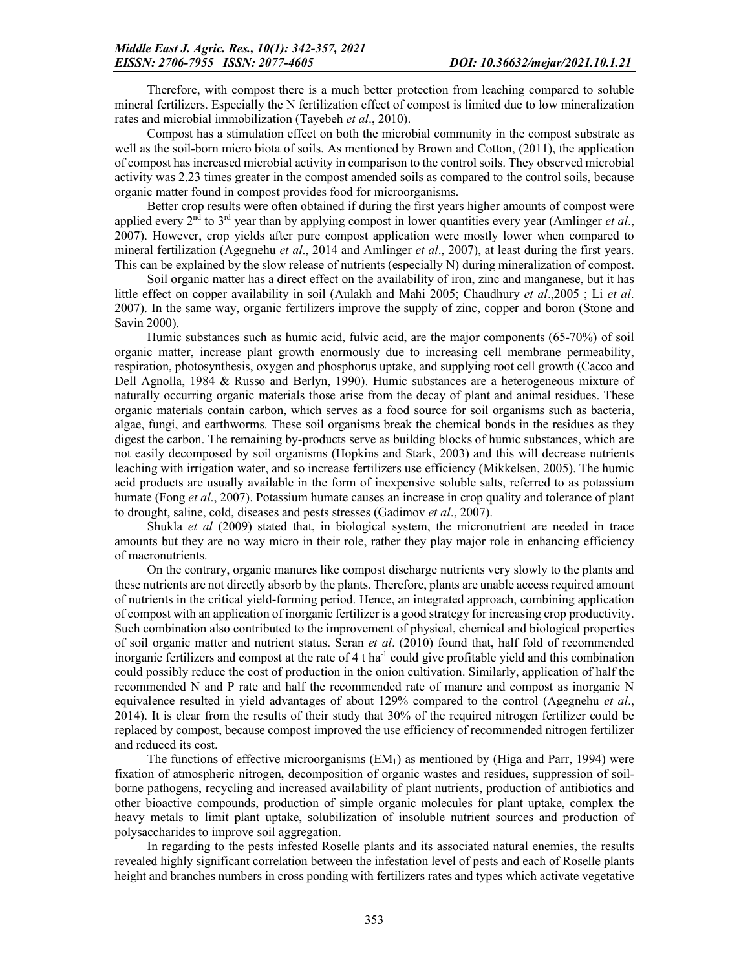Therefore, with compost there is a much better protection from leaching compared to soluble mineral fertilizers. Especially the N fertilization effect of compost is limited due to low mineralization rates and microbial immobilization (Tayebeh *et al*., 2010).

Compost has a stimulation effect on both the microbial community in the compost substrate as well as the soil-born micro biota of soils. As mentioned by Brown and Cotton, (2011), the application of compost has increased microbial activity in comparison to the control soils. They observed microbial activity was 2.23 times greater in the compost amended soils as compared to the control soils, because organic matter found in compost provides food for microorganisms.

Better crop results were often obtained if during the first years higher amounts of compost were applied every  $2<sup>nd</sup>$  to  $3<sup>rd</sup>$  year than by applying compost in lower quantities every year (Amlinger *et al.*, 2007). However, crop yields after pure compost application were mostly lower when compared to mineral fertilization (Agegnehu *et al*., 2014 and Amlinger *et al*., 2007), at least during the first years. This can be explained by the slow release of nutrients (especially N) during mineralization of compost.

Soil organic matter has a direct effect on the availability of iron, zinc and manganese, but it has little effect on copper availability in soil (Aulakh and Mahi 2005; Chaudhury *et al*.,2005 ; Li *et al*. 2007). In the same way, organic fertilizers improve the supply of zinc, copper and boron (Stone and Savin 2000).

Humic substances such as humic acid, fulvic acid, are the major components (65-70%) of soil organic matter, increase plant growth enormously due to increasing cell membrane permeability, respiration, photosynthesis, oxygen and phosphorus uptake, and supplying root cell growth (Cacco and Dell Agnolla, 1984 & Russo and Berlyn, 1990). Humic substances are a heterogeneous mixture of naturally occurring organic materials those arise from the decay of plant and animal residues. These organic materials contain carbon, which serves as a food source for soil organisms such as bacteria, algae, fungi, and earthworms. These soil organisms break the chemical bonds in the residues as they digest the carbon. The remaining by-products serve as building blocks of humic substances, which are not easily decomposed by soil organisms (Hopkins and Stark, 2003) and this will decrease nutrients leaching with irrigation water, and so increase fertilizers use efficiency (Mikkelsen, 2005). The humic acid products are usually available in the form of inexpensive soluble salts, referred to as potassium humate (Fong *et al*., 2007). Potassium humate causes an increase in crop quality and tolerance of plant to drought, saline, cold, diseases and pests stresses (Gadimov *et al*., 2007).

Shukla *et al* (2009) stated that, in biological system, the micronutrient are needed in trace amounts but they are no way micro in their role, rather they play major role in enhancing efficiency of macronutrients.

On the contrary, organic manures like compost discharge nutrients very slowly to the plants and these nutrients are not directly absorb by the plants. Therefore, plants are unable access required amount of nutrients in the critical yield-forming period. Hence, an integrated approach, combining application of compost with an application of inorganic fertilizer is a good strategy for increasing crop productivity. Such combination also contributed to the improvement of physical, chemical and biological properties of soil organic matter and nutrient status. Seran *et al*. (2010) found that, half fold of recommended inorganic fertilizers and compost at the rate of 4 t ha<sup>-1</sup> could give profitable yield and this combination could possibly reduce the cost of production in the onion cultivation. Similarly, application of half the recommended N and P rate and half the recommended rate of manure and compost as inorganic N equivalence resulted in yield advantages of about 129% compared to the control (Agegnehu *et al*., 2014). It is clear from the results of their study that 30% of the required nitrogen fertilizer could be replaced by compost, because compost improved the use efficiency of recommended nitrogen fertilizer and reduced its cost.

The functions of effective microorganisms  $(EM<sub>1</sub>)$  as mentioned by (Higa and Parr, 1994) were fixation of atmospheric nitrogen, decomposition of organic wastes and residues, suppression of soilborne pathogens, recycling and increased availability of plant nutrients, production of antibiotics and other bioactive compounds, production of simple organic molecules for plant uptake, complex the heavy metals to limit plant uptake, solubilization of insoluble nutrient sources and production of polysaccharides to improve soil aggregation.

In regarding to the pests infested Roselle plants and its associated natural enemies, the results revealed highly significant correlation between the infestation level of pests and each of Roselle plants height and branches numbers in cross ponding with fertilizers rates and types which activate vegetative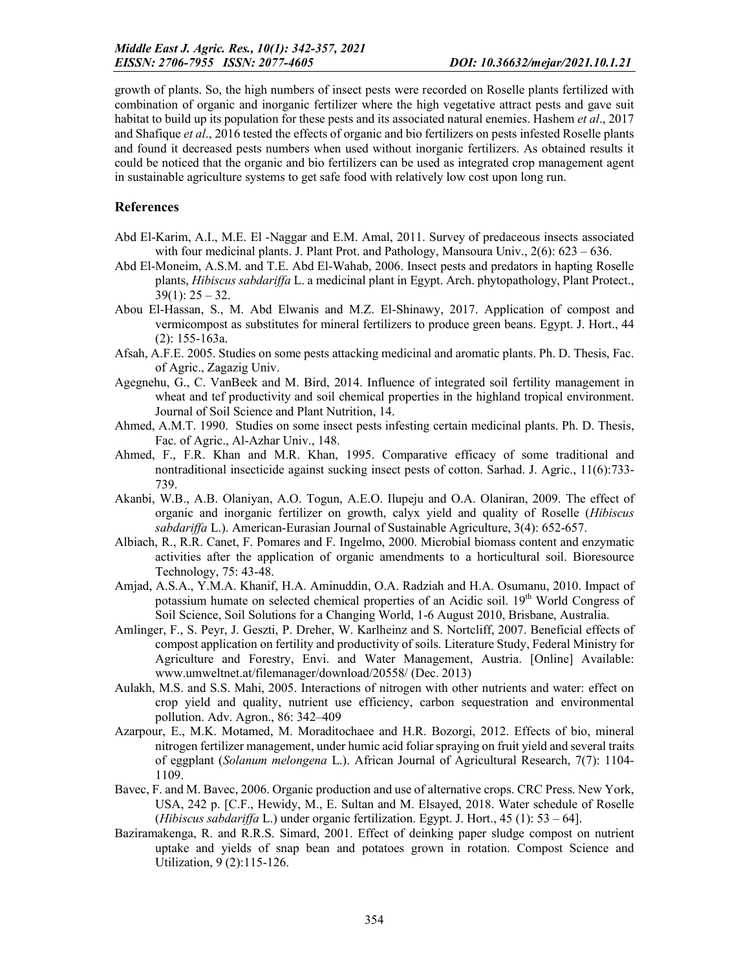growth of plants. So, the high numbers of insect pests were recorded on Roselle plants fertilized with combination of organic and inorganic fertilizer where the high vegetative attract pests and gave suit habitat to build up its population for these pests and its associated natural enemies. Hashem *et al*., 2017 and Shafique *et al*., 2016 tested the effects of organic and bio fertilizers on pests infested Roselle plants and found it decreased pests numbers when used without inorganic fertilizers. As obtained results it could be noticed that the organic and bio fertilizers can be used as integrated crop management agent in sustainable agriculture systems to get safe food with relatively low cost upon long run.

## References

- Abd El-Karim, A.I., M.E. El -Naggar and E.M. Amal, 2011. Survey of predaceous insects associated with four medicinal plants. J. Plant Prot. and Pathology, Mansoura Univ.,  $2(6)$ :  $623 - 636$ .
- Abd El-Moneim, A.S.M. and T.E. Abd El-Wahab, 2006. Insect pests and predators in hapting Roselle plants, *Hibiscus sabdariffa* L. a medicinal plant in Egypt. Arch. phytopathology, Plant Protect.,  $39(1)$ :  $25 - 32$ .
- Abou El-Hassan, S., M. Abd Elwanis and M.Z. El-Shinawy, 2017. Application of compost and vermicompost as substitutes for mineral fertilizers to produce green beans. Egypt. J. Hort., 44 (2): 155-163a.
- Afsah, A.F.E. 2005. Studies on some pests attacking medicinal and aromatic plants. Ph. D. Thesis, Fac. of Agric., Zagazig Univ.
- Agegnehu, G., C. VanBeek and M. Bird, 2014. Influence of integrated soil fertility management in wheat and tef productivity and soil chemical properties in the highland tropical environment. Journal of Soil Science and Plant Nutrition, 14.
- Ahmed, A.M.T. 1990. Studies on some insect pests infesting certain medicinal plants. Ph. D. Thesis, Fac. of Agric., Al-Azhar Univ., 148.
- Ahmed, F., F.R. Khan and M.R. Khan, 1995. Comparative efficacy of some traditional and nontraditional insecticide against sucking insect pests of cotton. Sarhad. J. Agric., 11(6):733- 739.
- Akanbi, W.B., A.B. Olaniyan, A.O. Togun, A.E.O. Ilupeju and O.A. Olaniran, 2009. The effect of organic and inorganic fertilizer on growth, calyx yield and quality of Roselle (*Hibiscus sabdariffa* L.). American-Eurasian Journal of Sustainable Agriculture, 3(4): 652-657.
- Albiach, R., R.R. Canet, F. Pomares and F. Ingelmo, 2000. Microbial biomass content and enzymatic activities after the application of organic amendments to a horticultural soil. Bioresource Technology, 75: 43-48.
- Amjad, A.S.A., Y.M.A. Khanif, H.A. Aminuddin, O.A. Radziah and H.A. Osumanu, 2010. Impact of potassium humate on selected chemical properties of an Acidic soil. 19<sup>th</sup> World Congress of Soil Science, Soil Solutions for a Changing World, 1-6 August 2010, Brisbane, Australia.
- Amlinger, F., S. Peyr, J. Geszti, P. Dreher, W. Karlheinz and S. Nortcliff, 2007. Beneficial effects of compost application on fertility and productivity of soils. Literature Study, Federal Ministry for Agriculture and Forestry, Envi. and Water Management, Austria. [Online] Available: www.umweltnet.at/filemanager/download/20558/ (Dec. 2013)
- Aulakh, M.S. and S.S. Mahi, 2005. Interactions of nitrogen with other nutrients and water: effect on crop yield and quality, nutrient use efficiency, carbon sequestration and environmental pollution. Adv. Agron., 86: 342–409
- Azarpour, E., M.K. Motamed, M. Moraditochaee and H.R. Bozorgi, 2012. Effects of bio, mineral nitrogen fertilizer management, under humic acid foliar spraying on fruit yield and several traits of eggplant (*Solanum melongena* L.). African Journal of Agricultural Research, 7(7): 1104- 1109.
- Bavec, F. and M. Bavec, 2006. Organic production and use of alternative crops. CRC Press. New York, USA, 242 p. [C.F., Hewidy, M., E. Sultan and M. Elsayed, 2018. Water schedule of Roselle (*Hibiscus sabdariffa* L.) under organic fertilization. Egypt. J. Hort., 45 (1): 53 – 64].
- Baziramakenga, R. and R.R.S. Simard, 2001. Effect of deinking paper sludge compost on nutrient uptake and yields of snap bean and potatoes grown in rotation. Compost Science and Utilization, 9 (2):115-126.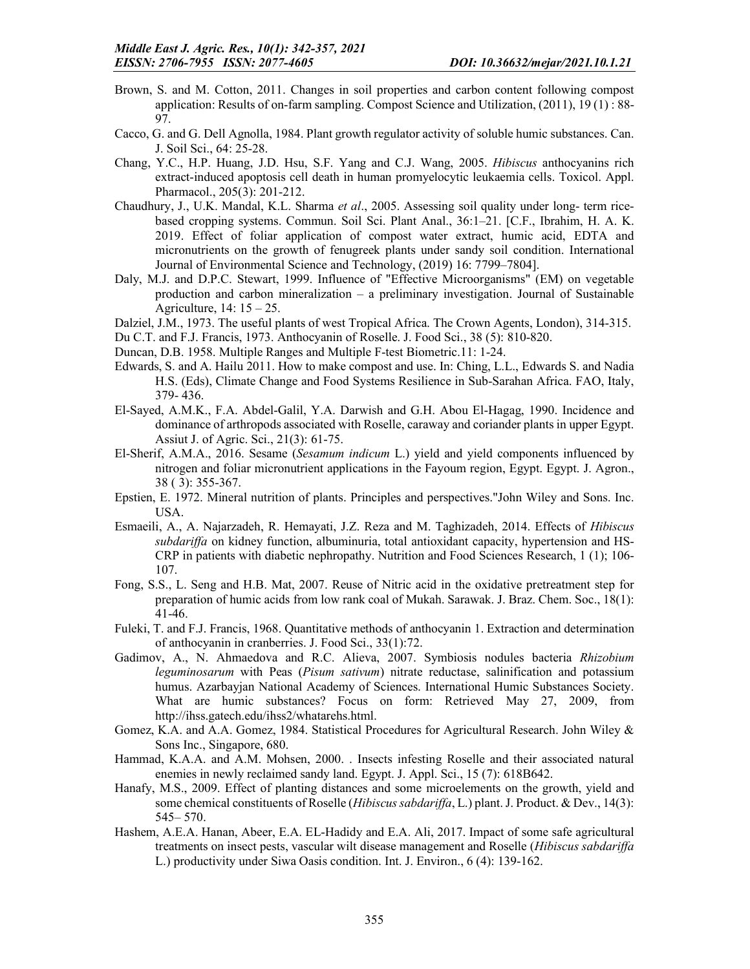- Brown, S. and M. Cotton, 2011. Changes in soil properties and carbon content following compost application: Results of on-farm sampling. Compost Science and Utilization, (2011), 19 (1) : 88- 97.
- Cacco, G. and G. Dell Agnolla, 1984. Plant growth regulator activity of soluble humic substances. Can. J. Soil Sci., 64: 25-28.
- Chang, Y.C., H.P. Huang, J.D. Hsu, S.F. Yang and C.J. Wang, 2005. *Hibiscus* anthocyanins rich extract-induced apoptosis cell death in human promyelocytic leukaemia cells. Toxicol. Appl. Pharmacol., 205(3): 201-212.
- Chaudhury, J., U.K. Mandal, K.L. Sharma *et al*., 2005. Assessing soil quality under long- term ricebased cropping systems. Commun. Soil Sci. Plant Anal., 36:1–21. [C.F., Ibrahim, H. A. K. 2019. Effect of foliar application of compost water extract, humic acid, EDTA and micronutrients on the growth of fenugreek plants under sandy soil condition. International Journal of Environmental Science and Technology, (2019) 16: 7799–7804].
- Daly, M.J. and D.P.C. Stewart, 1999. Influence of "Effective Microorganisms" (EM) on vegetable production and carbon mineralization – a preliminary investigation. Journal of Sustainable Agriculture, 14: 15 – 25.
- Dalziel, J.M., 1973. The useful plants of west Tropical Africa. The Crown Agents, London), 314-315.
- Du C.T. and F.J. Francis, 1973. Anthocyanin of Roselle. J. Food Sci., 38 (5): 810-820.
- Duncan, D.B. 1958. Multiple Ranges and Multiple F-test Biometric.11: 1-24.
- Edwards, S. and A. Hailu 2011. How to make compost and use. In: Ching, L.L., Edwards S. and Nadia H.S. (Eds), Climate Change and Food Systems Resilience in Sub-Sarahan Africa. FAO, Italy, 379- 436.
- El-Sayed, A.M.K., F.A. Abdel-Galil, Y.A. Darwish and G.H. Abou El-Hagag, 1990. Incidence and dominance of arthropods associated with Roselle, caraway and coriander plants in upper Egypt. Assiut J. of Agric. Sci., 21(3): 61-75.
- El-Sherif, A.M.A., 2016. Sesame (*Sesamum indicum* L.) yield and yield components influenced by nitrogen and foliar micronutrient applications in the Fayoum region, Egypt. Egypt. J. Agron., 38 ( 3): 355-367.
- Epstien, E. 1972. Mineral nutrition of plants. Principles and perspectives."John Wiley and Sons. Inc. USA.
- Esmaeili, A., A. Najarzadeh, R. Hemayati, J.Z. Reza and M. Taghizadeh, 2014. Effects of *Hibiscus subdariffa* on kidney function, albuminuria, total antioxidant capacity, hypertension and HS-CRP in patients with diabetic nephropathy. Nutrition and Food Sciences Research, 1 (1); 106- 107.
- Fong, S.S., L. Seng and H.B. Mat, 2007. Reuse of Nitric acid in the oxidative pretreatment step for preparation of humic acids from low rank coal of Mukah. Sarawak. J. Braz. Chem. Soc., 18(1): 41-46.
- Fuleki, T. and F.J. Francis, 1968. Quantitative methods of anthocyanin 1. Extraction and determination of anthocyanin in cranberries. J. Food Sci., 33(1):72.
- Gadimov, A., N. Ahmaedova and R.C. Alieva, 2007. Symbiosis nodules bacteria *Rhizobium leguminosarum* with Peas (*Pisum sativum*) nitrate reductase, salinification and potassium humus. Azarbayjan National Academy of Sciences. International Humic Substances Society. What are humic substances? Focus on form: Retrieved May 27, 2009, from http://ihss.gatech.edu/ihss2/whatarehs.html.
- Gomez, K.A. and A.A. Gomez, 1984. Statistical Procedures for Agricultural Research. John Wiley & Sons Inc., Singapore, 680.
- Hammad, K.A.A. and A.M. Mohsen, 2000. . Insects infesting Roselle and their associated natural enemies in newly reclaimed sandy land. Egypt. J. Appl. Sci., 15 (7): 618B642.
- Hanafy, M.S., 2009. Effect of planting distances and some microelements on the growth, yield and some chemical constituents of Roselle (*Hibiscus sabdariffa*, L.) plant. J. Product. & Dev., 14(3): 545– 570.
- Hashem, A.E.A. Hanan, Abeer, E.A. EL-Hadidy and E.A. Ali, 2017. Impact of some safe agricultural treatments on insect pests, vascular wilt disease management and Roselle (*Hibiscus sabdariffa* L.) productivity under Siwa Oasis condition. Int. J. Environ., 6 (4): 139-162.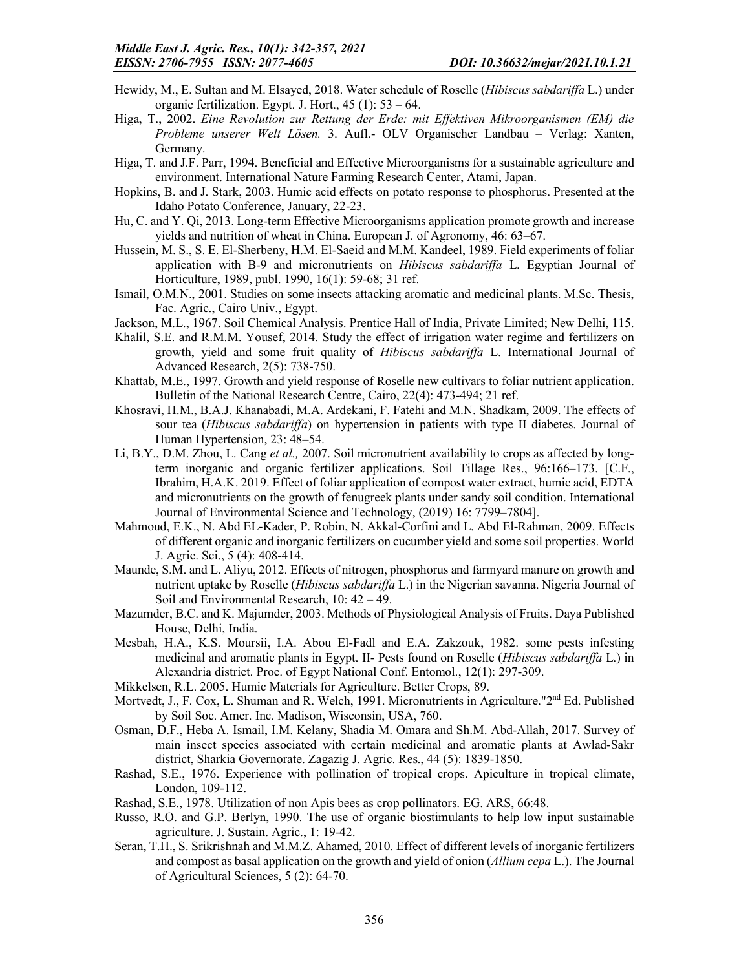- Hewidy, M., E. Sultan and M. Elsayed, 2018. Water schedule of Roselle (*Hibiscus sabdariffa* L.) under organic fertilization. Egypt. J. Hort., 45 (1): 53 – 64.
- Higa, T., 2002. *Eine Revolution zur Rettung der Erde: mit Effektiven Mikroorganismen (EM) die Probleme unserer Welt Lösen.* 3. Aufl.- OLV Organischer Landbau – Verlag: Xanten, Germany.
- Higa, T. and J.F. Parr, 1994. Beneficial and Effective Microorganisms for a sustainable agriculture and environment. International Nature Farming Research Center, Atami, Japan.
- Hopkins, B. and J. Stark, 2003. Humic acid effects on potato response to phosphorus. Presented at the Idaho Potato Conference, January, 22-23.
- Hu, C. and Y. Qi, 2013. Long-term Effective Microorganisms application promote growth and increase yields and nutrition of wheat in China. European J. of Agronomy, 46: 63–67.
- Hussein, M. S., S. E. El-Sherbeny, H.M. El-Saeid and M.M. Kandeel, 1989. Field experiments of foliar application with B-9 and micronutrients on *Hibiscus sabdariffa* L. Egyptian Journal of Horticulture, 1989, publ. 1990, 16(1): 59-68; 31 ref.
- Ismail, O.M.N., 2001. Studies on some insects attacking aromatic and medicinal plants. M.Sc. Thesis, Fac. Agric., Cairo Univ., Egypt.
- Jackson, M.L., 1967. Soil Chemical Analysis. Prentice Hall of India, Private Limited; New Delhi, 115.
- Khalil, S.E. and R.M.M. Yousef, 2014. Study the effect of irrigation water regime and fertilizers on growth, yield and some fruit quality of *Hibiscus sabdariffa* L. International Journal of Advanced Research, 2(5): 738-750.
- Khattab, M.E., 1997. Growth and yield response of Roselle new cultivars to foliar nutrient application. Bulletin of the National Research Centre, Cairo, 22(4): 473-494; 21 ref.
- Khosravi, H.M., B.A.J. Khanabadi, M.A. Ardekani, F. Fatehi and M.N. Shadkam, 2009. The effects of sour tea (*Hibiscus sabdariffa*) on hypertension in patients with type II diabetes. Journal of Human Hypertension, 23: 48–54.
- Li, B.Y., D.M. Zhou, L. Cang *et al.,* 2007. Soil micronutrient availability to crops as affected by longterm inorganic and organic fertilizer applications. Soil Tillage Res., 96:166–173. [C.F., Ibrahim, H.A.K. 2019. Effect of foliar application of compost water extract, humic acid, EDTA and micronutrients on the growth of fenugreek plants under sandy soil condition. International Journal of Environmental Science and Technology, (2019) 16: 7799–7804].
- Mahmoud, E.K., N. Abd EL-Kader, P. Robin, N. Akkal-Corfini and L. Abd El-Rahman, 2009. Effects of different organic and inorganic fertilizers on cucumber yield and some soil properties. World J. Agric. Sci., 5 (4): 408-414.
- Maunde, S.M. and L. Aliyu, 2012. Effects of nitrogen, phosphorus and farmyard manure on growth and nutrient uptake by Roselle (*Hibiscus sabdariffa* L.) in the Nigerian savanna. Nigeria Journal of Soil and Environmental Research, 10: 42 – 49.
- Mazumder, B.C. and K. Majumder, 2003. Methods of Physiological Analysis of Fruits. Daya Published House, Delhi, India.
- Mesbah, H.A., K.S. Moursii, I.A. Abou El-Fadl and E.A. Zakzouk, 1982. some pests infesting medicinal and aromatic plants in Egypt. II- Pests found on Roselle (*Hibiscus sabdariffa* L.) in Alexandria district. Proc. of Egypt National Conf. Entomol., 12(1): 297-309.
- Mikkelsen, R.L. 2005. Humic Materials for Agriculture. Better Crops, 89.
- Mortvedt, J., F. Cox, L. Shuman and R. Welch, 1991. Micronutrients in Agriculture."2<sup>nd</sup> Ed. Published by Soil Soc. Amer. Inc. Madison, Wisconsin, USA, 760.
- Osman, D.F., Heba A. Ismail, I.M. Kelany, Shadia M. Omara and Sh.M. Abd-Allah, 2017. Survey of main insect species associated with certain medicinal and aromatic plants at Awlad-Sakr district, Sharkia Governorate. Zagazig J. Agric. Res., 44 (5): 1839-1850.
- Rashad, S.E., 1976. Experience with pollination of tropical crops. Apiculture in tropical climate, London, 109-112.
- Rashad, S.E., 1978. Utilization of non Apis bees as crop pollinators. EG. ARS, 66:48.
- Russo, R.O. and G.P. Berlyn, 1990. The use of organic biostimulants to help low input sustainable agriculture. J. Sustain. Agric., 1: 19-42.
- Seran, T.H., S. Srikrishnah and M.M.Z. Ahamed, 2010. Effect of different levels of inorganic fertilizers and compost as basal application on the growth and yield of onion (*Allium cepa* L.). The Journal of Agricultural Sciences, 5 (2): 64-70.